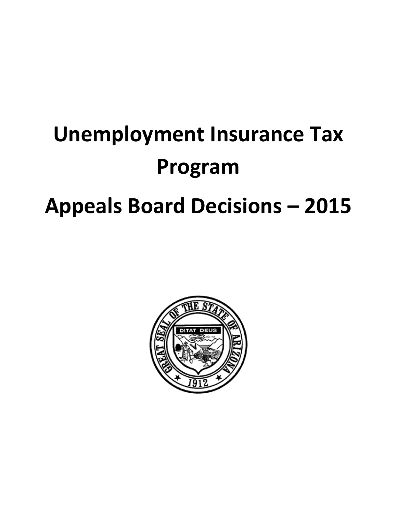# **Unemployment Insurance Tax Program Appeals Board Decisions – 2015**

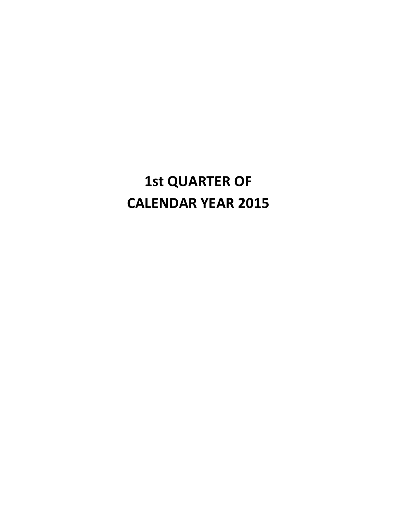# **1st QUARTER OF CALENDAR YEAR 2015**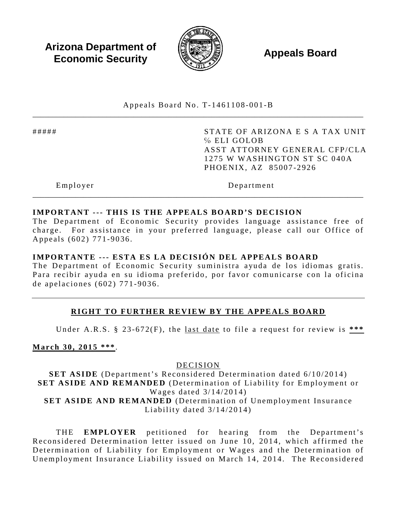**Arizona Department of Economic Security Appeals Board**<br> **Economic Security** 



Appeals Board No. T- 1461108 -001 -B \_\_\_\_\_\_\_\_\_\_\_\_\_\_\_\_\_\_\_\_\_\_\_\_\_\_\_\_\_\_\_\_\_\_\_\_\_\_\_\_\_\_\_\_\_\_\_\_\_\_\_\_\_\_\_\_\_\_\_\_\_\_\_\_\_\_\_\_\_\_\_\_\_\_\_\_\_\_\_\_\_\_\_\_\_

##### STATE OF ARIZONA E S A TAX UNIT ℅ ELI GOLOB ASST ATTORNEY GENERAL CFP/CLA 1275 W WASHINGTON ST SC 040A PHOENIX, AZ 85007 -2926

Employer Department

# **IMPORTANT --- THIS IS THE APPEALS BOARD'S DECISION**

The Department of Economic Security provides language assistance free of charge. For assistance in your preferred language, please call our Office of Appeals (602) 771 -9036 .

\_\_\_\_\_\_\_\_\_\_\_\_\_\_\_\_\_\_\_\_\_\_\_\_\_\_\_\_\_\_\_\_\_\_\_\_\_\_\_\_\_\_\_\_\_\_\_\_\_\_\_\_\_\_\_\_\_\_\_\_\_\_\_\_\_\_\_\_\_\_\_\_\_\_\_\_\_\_\_\_\_\_\_\_\_

## **IMPORTANTE --- ESTA ES LA DECISIÓN DEL APPEALS BOARD**

The Department of Economic Security suministra ayuda de los idiomas gratis. Para recibir ayuda en su idioma preferido, por favor comunicarse con la oficina de apelaciones (602) 771 - 9036 .

## **RIGHT TO FURTHER REVIEW BY THE APPEALS BOARD**

Under A.R.S. § 23 -672(F), the last date to file a request for review is **\*\*\*** 

**March 30, 2015 \*\*\*** .

DECISION

**SET ASIDE** (Department's Reconsidered Determination dated 6/10/2014) **SET ASIDE AND REMANDED** (Determination of Liability for Employment or Wages dated 3/14/2014) **SET ASIDE AND REMANDED** (Determination of Unemployment Insurance Liability dated 3/14/2014)

THE **EMPLOYER** petitioned for hearing from the Department's Reconsidered Determination letter issued on June 10, 2014, which affirmed the Determination of Liability for Employment or Wages and the Determination of Unemployment Insurance Liability issued on March 14, 2014. The Reconsidered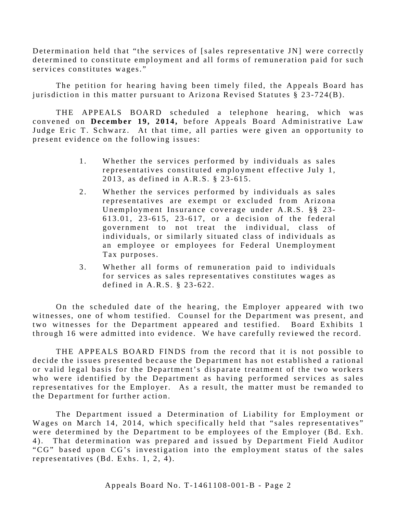Determination held that "the services of [sales representative JN] were correctly determined to constitute employment and all forms of remuneration paid for such services constitutes wages."

The petition for hearing having been timely filed, the Appeals Board has jurisdiction in this matter pursuant to Arizona Revised Statutes § 23-724(B).

THE APPEALS BOARD scheduled a telephone hearing, which was convened on **December 19 , 2014 ,** before Appeals Board Administrative Law Judge Eric T. Schwarz. At that time, all parties were given an opportunity to present evidence on the following issues:

- 1. Whether the services performed by individuals as sales representatives constituted employment effective July 1, 2013, as defined in A.R.S. § 23-615.
- 2. Whether the services performed by individuals as sales representatives are exempt or excluded from Arizona Unemployment Insurance coverage under A.R.S. §§ 23- 613.01 , 23 - 615, 23 - 617, or a decision of the federal government to not treat the individual, class of individuals, or similarly situated class of individuals as an employee or employees for Federal Unemployment Tax purposes.
- 3 . Whether all forms of remuneration paid to individuals for services as sales representatives constitutes wages as defined in A.R.S. § 23- 622.

On the scheduled date of the hearing, the Employer appeared with two witnesses, one of whom testified. Counsel for the Department was present, and two witnesses for the Department appeared and testified. Board Exhibits 1 through 16 were admitted into evidence. We have carefully reviewed the record.

THE APPEALS BOARD FINDS from the record that it is not possible to decide the issues presented because the Department has not established a rational or valid legal basis for the Department's disparate treatment of the two workers who were identified by the Department as having performed services as sales representatives for the Employer. As a result, the matter must be remanded to the Department for further action.

The Department issued a Determination of Liability for Employment or Wages on March 14, 2014, which specifically held that "sales representatives" were determined by the Department to be employees of the Employer (Bd. Exh. 4). That determination was prepared and issued by Department Field Auditor "CG" based upon CG's investigation into the employment status of the sales representatives (Bd. Exhs. 1, 2, 4).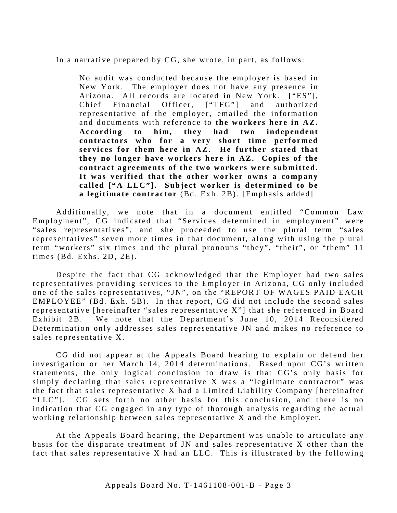In a narrative prepared by CG, she wrote, in part, as follows:

No audit was conducted because the employer is based in New York. The employer does not have any presence in Arizona. All records are located in New York. ["ES"], Chief Financial Officer, ["TFG"] and authorized representative of the employer, emailed the information and documents with reference to **the workers here in AZ. According to him, they had two independent contractors who for a very short time performed**  services for them here in AZ. He further stated that **they no longer have workers here in AZ. Copies of the contract agreements of the two workers were submitted. It was verified that the other worker owns a company called ["A LLC" ]. Subject worker is determined to be a legitimate contractor** (Bd. Exh. 2B). [Emphasis added]

Additionally, we note that in a document entitled "Common Law Employment", CG indicated that "Services determined in employment" were "sales representatives", and she proceeded to use the plural term "sales representatives" seven more times in that document, along with using the plural term "workers" six times and the plural pronouns "they", "their", or "them" 11 times (Bd. Exhs. 2D, 2E).

Despite the fact that CG acknowledged that the Employer had two sales representatives providing services to the Employer in Arizona, CG only included one of the sales representatives, "JN", on the "REPORT OF WAGES PAID EACH EMPLOYEE" (Bd. Exh. 5B). In that report, CG did not include the second sales representative [hereinafter "sales representative X"] that she referenced in Board Exhibit 2B. We note that the Department's June 10, 2014 Reconsidered Determination only addresses sales representative JN and makes no reference to sales representative X.

CG did not appear at the Appeals Board hearing to explain or defend her investigation or her March 14, 2014 determinations. Based upon CG's written statements, the only logical conclusion to draw is that CG's only basis for simply declaring that sales representative X was a "legitimate contractor" was the fact that sales representative X had a Limited Liability Company [hereinafter] "LLC"]. CG sets forth no other basis for this conclusion, and there is no indication that CG engaged in any type of thorough analysis regarding the actual working relationship between sales representative X and the Employer.

At the Appeals Board hearing, the Department was unable to articulate any basis for the disparate treatment of JN and sales representative X other than the fact that sales representative X had an LLC. This is illustrated by the following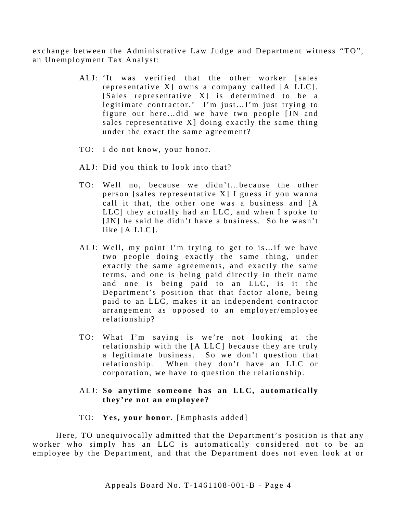exchange between the Administrative Law Judge and Department witness "TO", an Unemployment Tax Analyst:

- ALJ: 'It was verified that the other worker [sales representative X] owns a company called [A LLC]. [Sales representative X] is determined to be a legitimate contractor.' I'm just…I'm just trying to figure out here…did we have two people [JN and sales representative X] doing exactly the same thing under the exact the same agreement?
- TO: I do not know, your honor.
- ALJ: Did you think to look into that?
- TO: Well no, because we didn't…because the other person [sales representative X] I guess if you wanna call it that, the other one was a business and [A  $LLC$ ] they actually had an  $LLC$ , and when I spoke to [JN] he said he didn't have a business. So he wasn't like [A LLC].
- ALJ: Well, my point I'm trying to get to is…if we have two people doing exactly the same thing, under exactly the same agreements, and exactly the same terms, and one is being paid directly in their name and one is being paid to an LLC, is it the Department's position that that factor alone, being paid to an LLC, makes it an independent contractor arrangement as opposed to an employer/employee relationship?
- TO: What I'm saying is we're not looking at the relationship with the [A LLC] because they are truly a legitimate business. So we don't question that relationship. When they don't have an LLC or corporation, we have to question the relationship.

#### ALJ: **So anytime someone has an LLC, automatically they're not an employee?**

TO: **Yes, your honor.** [Emphasis added]

Here, TO unequivocally admitted that the Department's position is that any worker who simply has an LLC is automatically considered not to be an employee by the Department, and that the Department does not even look at or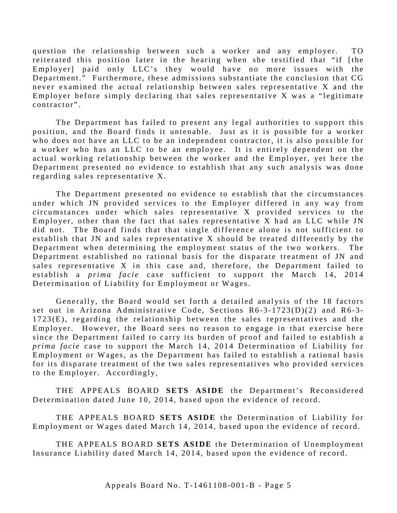question the relationship between such a worker and any employer. TO reiterated this position later in the hearing when she testified that "if [the Employer] paid only LLC's they would have no more issues with the Department." Furthermore, these admissions substantiate the conclusion that CG never examined the actual relationship between sales representative X and the Employer before simply declaring that sales representative X was a "legitimate contractor".

The Department has failed to present any legal authorities to support this position, and the Board finds it untenable. Just as it is possible for a worker who does not have an LLC to be an independent contractor, it is also possible for a worker who has an LLC to be an employee. It is entirely dependent on the actual working relationship between the worker and the Employer, yet here the Department presented no evidence to establish that any such analysis was done regarding sales representative X.

The Department presented no evidence to establish that the circumstances under which JN provided services to the Employer differed in any way from circumstances under which sales representative X provided services to the Employer, other than the fact that sales representative  $X$  had an LLC while JN did not. The Board finds that that single difference alone is not sufficient to establish that JN and sales representative X should be treated differently by the Department when determining the employment status of the two workers. The Department established no rational basis for the disparate treatment of JN and sales representative X in this case and, therefore, the Department failed to establish a *prima facie* case sufficient to support the March 14, 2014 Determination of Liability for Employment or Wages.

Generally, the Board would set forth a detailed analysis of the 18 factors set out in Arizona Administrative Code, Sections  $R6-3-1723(D)(2)$  and  $R6-3 1723(E)$ , regarding the relationship between the sales representatives and the Employer. However, the Board sees no reason to engage in that exercise here since the Department failed to carry its burden of proof and failed to establish a *prima facie* case to support the March 14, 2014 Determination of Liability for Employment or Wages, as the Department has failed to establish a rational basis for its disparate treatment of the two sales representatives who provided services to the Employer. Accordingly,

THE APPEALS BOARD **SETS ASIDE** the Department's Reconsidered Determination dated June 10, 2014, based upon the evidence of record.

THE APPEALS BOARD **SETS ASIDE** the Determination of Liability for Employment or Wages dated March 14, 2014 , based upon the evidence of record.

THE APPEALS BOARD **SETS ASIDE** the Determination of Unemployment Insurance Liability dated March 14, 2014, based upon the evidence of record.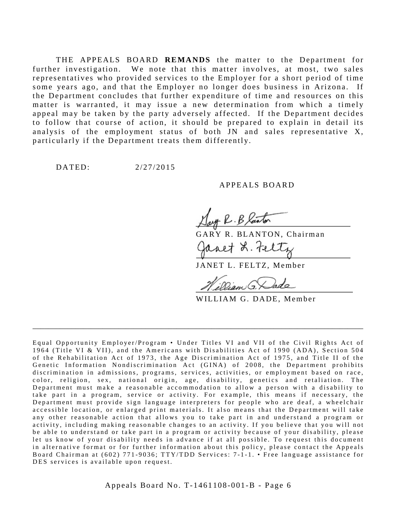THE APPEALS BOARD **REMANDS** the matter to the Department for further investigation. We note that this matter involves, at most, two sales representatives who provided services to the Employer for a short period of time some years ago, and that the Employer no longer does business in Arizona. If the Department concludes that further expenditure of time and resources on this matter is warranted, it may issue a new determination from which a timely appeal may be taken by the party adversely affected. If the Department decides to follow that course of action, it should be prepared to explain in detail its analysis of the employment status of both JN and sales representative  $X$ , particularly if the Department treats them differently.

DATED: 2/27/2015

#### APPEALS BOARD

GARY R. BLANTON, Chairman

JANET L. FELTZ, Member

WILLIAM G. DADE, Member

Equal Opportunity Employer/Program • Under Titles VI and VII of the Civil Rights Act of 1964 (Title VI & VII), and the Americans with Disabilities Act of 1990 (ADA), Sec tion 504 of the Rehabilitation Act of 1973, the Age Discrimination Act of 1975, and Title II of the Genetic Information Nondiscrimination Act (GINA) of 2008, the Department prohibits discrimination in admissions, programs, services, activities, or employment based on race, color, religion, sex, national origin, age, disability, genetics and retaliation. The Department must make a reasonable accommodation to allow a person with a disability to take part in a program, service or activity. For example, this me ans if necessary, the Department must provide sign language interpreters for people who are deaf, a wheelchair accessible location, or enlarged print materials. It also means that the Department will take any other reasonable action that allows you to take part in and understand a program or activity, including making reasonable changes to an activity. If you believe that you will not be able to understand or take part in a program or activity because of your disability, please let us know of your disability needs in advance if at all possible. To request this document in alternative format or for further information about this policy, please contact the Appeals Board Chairman at (602) 771-9036; TTY/TDD Services: 7-1-1. • Free language assistance for DES services is available upon request.

\_\_\_\_\_\_\_\_\_\_\_\_\_\_\_\_\_\_\_\_\_\_\_\_\_\_\_\_\_\_\_\_\_\_\_\_\_\_\_\_\_\_\_\_\_\_\_\_\_\_\_\_\_\_\_\_\_\_\_\_\_\_\_\_\_\_\_\_\_\_\_\_\_\_\_\_\_\_\_\_\_\_\_\_\_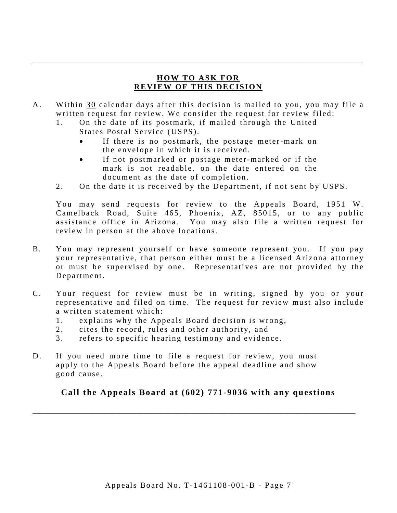# **HOW TO ASK FOR REVIEW OF THIS DECISION**

\_\_\_\_\_\_\_\_\_\_\_\_\_\_\_\_\_\_\_\_\_\_\_\_\_\_\_\_\_\_\_\_\_\_\_\_\_\_\_\_\_\_\_\_\_\_\_\_\_\_\_\_\_\_\_\_\_\_\_\_\_\_\_\_\_\_\_\_\_\_\_\_\_\_\_\_\_\_\_\_\_\_\_\_\_

- A. Within 30 calendar days after this decision is mailed to you, you may file a written request for review. We consider the request for review filed:
	- 1. On the date of its postmark, if mailed through the United States Postal Service (USPS).
		- If there is no postmark, the postage meter-mark on the envelope in which it is received.
		- If not postmarked or postage meter-marked or if the mark is not readable, on the date entered on the document as the date of completion.
	- 2. On the date it is received by the Department, if not sent by USPS.

You may send requests for review to the Appeals Board, 1951 W. Camelback Road, Suite 465, Phoenix, AZ, 85015, or to any public assistance office in Arizona. You may also file a written request for review in person at the above locations.

- B. You may represent yourself or have someone represent you. If you pay your representative, that person either must be a licensed Arizona attorney or must be supervised by one. Representatives are not provided by the Department.
- C. Your request for review must be in writing, signed by you or your representative and filed on time. The request for review must also include a written statement which:
	- 1. explains why the Appeals Board decision is wrong,
	- 2. cites the record, rules and other authority, and
	- 3. refers to specific hearing testimony and evidence.
- D. If you need more time to file a request for review, you must apply to the Appeals Board before the appeal deadline and show good cause.

# **Call the Appeals Board at (602) 771-9036 with any questions**

\_\_\_\_\_\_\_\_\_\_\_\_\_\_\_\_\_\_\_\_\_\_\_\_\_\_\_\_\_\_\_\_\_\_\_\_\_\_\_\_\_\_\_\_\_\_\_\_\_\_\_\_\_\_\_\_\_\_\_\_\_\_\_\_\_\_\_\_\_\_\_\_\_\_\_\_\_\_\_\_\_\_\_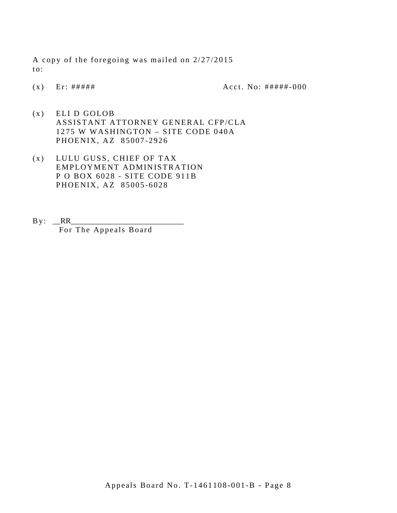A copy of the foregoing was mailed on 2/27/2015 to:

(x) Er:  $\# \# \# \#$  Acct. No:  $\# \# \# \# \div 000$ 

- (x) ELI D GOLOB ASSISTANT ATTORNEY GENERAL CFP/CLA 1275 W WASHINGTON – SITE CODE 040A PHOENIX, AZ 85007 -2926
- (x) LULU GUSS, CHIEF OF TAX EMPLOYMENT ADMINISTRATION P O BOX 6028 - SITE CODE 911B PHOENIX, AZ 85005 -6028
- $By: **RR**$ For The Appeals Board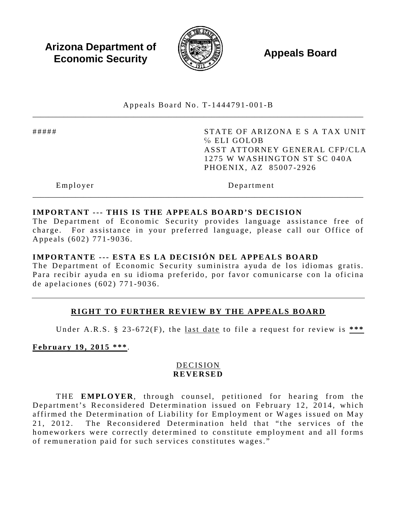**Arizona Department of Economic Security Appeals Board**<br> **Economic Security** 



Appeals Board No. T- 1444791 -001 -B \_\_\_\_\_\_\_\_\_\_\_\_\_\_\_\_\_\_\_\_\_\_\_\_\_\_\_\_\_\_\_\_\_\_\_\_\_\_\_\_\_\_\_\_\_\_\_\_\_\_\_\_\_\_\_\_\_\_\_\_\_\_\_\_\_\_\_\_\_\_\_\_\_\_\_\_\_\_\_\_\_\_\_\_\_

##### STATE OF ARIZONA E S A TAX UNIT ℅ ELI GOLOB ASST ATTORNEY GENERAL CFP/CLA 1275 W WASHINGTON ST SC 040A PHOENIX, AZ 85007 -2926

Employer Department

## **IMPORTANT --- THIS IS THE APPEALS BOARD'S DECISION**

The Department of Economic Security provides language assistance free of charge. For assistance in your preferred language, please call our Office of Appeals (602) 771 -9036 .

\_\_\_\_\_\_\_\_\_\_\_\_\_\_\_\_\_\_\_\_\_\_\_\_\_\_\_\_\_\_\_\_\_\_\_\_\_\_\_\_\_\_\_\_\_\_\_\_\_\_\_\_\_\_\_\_\_\_\_\_\_\_\_\_\_\_\_\_\_\_\_\_\_\_\_\_\_\_\_\_\_\_\_\_\_

#### **IMPORTANTE --- ESTA ES LA DECISIÓN DEL APPEALS BOARD**

The Department of Economic Security suministra ayuda de los idiomas gratis. Para recibir ayuda en su idioma preferido, por favor comunicarse con la oficina de apelaciones (602) 771 - 9036 .

## **RIGHT TO FURTHER REVIEW BY THE APPEALS BOARD**

Under A.R.S. § 23 -672(F), the last date to file a request for review is **\*\*\*** 

**February 19, 2015 \*\*\***.

## DECISION **REVERSED**

THE **EMPLOYER**, through counsel, petitioned for hearing from the Department's Reconsidered Determination issued on February 12, 2014, which affirmed the Determination of Liability for Employment or Wages issued on May 21, 2012. The Reconsidered Determination held that " the services of the homeworkers were correctly determined to constitute employment and all forms of remuneration paid for such services constitutes wages."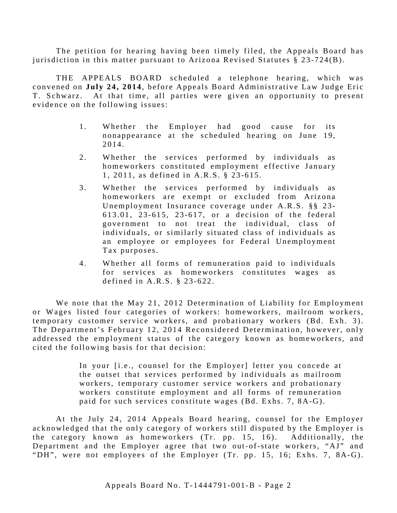The petition for hearing having been timely filed, the Appeals Board has jurisdiction in this matter pursuant to Arizona Revised Statutes § 23 -724(B).

THE APPEALS BOARD scheduled a telephone hearing, which was convened on **July 24 , 2014**, before Appeals Board Administrative Law Judge Eric T. Schwarz. At that time, all parties were given an opportunity to present evidence on the following issues:

- 1. Whether the Employer had good cause for its nonappearance at the scheduled hearing on June 19, 2014.
- 2. Whether the services performed by individuals as homeworkers constituted employment effective January 1, 2011, as defined in A.R.S. § 23 -615.
- 3 . Whether the services performed by individuals as homeworkers are exempt or excluded from Arizona Unemployment Insurance coverage under A.R.S. §§ 23- 613.01, 23 - 615, 23 - 617, or a decision of the federal government to not treat the individual, class of individuals, or similarly situated class of individuals as an employee or employees for Federal Unemployment Tax purposes.
- 4. Whether all forms of remuneration paid to individuals for services as homeworkers constitutes wages as defined in A.R.S. § 23- 622.

We note that the May 21, 2012 Determination of Liability for Employment or Wages listed four categories of workers: homeworkers, mailroom workers, temporary customer service workers, and probationary workers (Bd. Exh. 3). The Department's February 12, 2014 Reconsidered Determination, however, only addressed the employment status of the category known as homeworkers, and cited the following basis for that decision:

> In your [i.e., counsel for the Employer] letter you concede at the outset that services performed by individuals as mailroom workers, temporary customer service workers and probationary workers constitute employment and all forms of remuneration paid for such services constitute wages (Bd. Exhs. 7, 8A-G).

At the July 24, 2014 Appeals Board hearing, counsel for the Employer acknowledged that the only category of workers still disputed by the Employer is the category known as homeworkers (Tr. pp. 15, 16). Additionally, the Department and the Employer agree that two out-of-state workers, "AJ" and "DH", were not employees of the Employer (Tr. pp. 15, 16; Exhs. 7, 8A-G).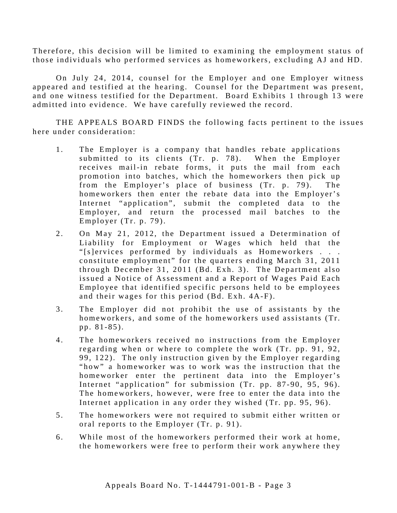Therefore, this decision will be limited to examining the employment status of those individuals who performed services as homeworkers, excluding AJ and HD.

On July 24, 2014, counsel for the Employer and one Employer witness appeared and testified at the hearing. Counsel for the Department was present, and one witness testified for the Department. Board Exhibits 1 through 13 were admitted into evidence. We have carefully reviewed the record.

THE APPEALS BOARD FINDS the following facts pertinent to the issues here under consideration:

- 1. The Employer is a company that handles rebate applications submitted to its clients (Tr. p. 78). When the Employer receives mail-in rebate forms, it puts the mail from each promotion into batches, which the homeworkers then pick up from the Employer's place of business (Tr. p. 79). The homeworkers then enter the rebate data into the Employer's Internet "application", submit the completed data to the Employer, and return the processed mail batches to the Employer (Tr. p. 79).
- 2. On May 21, 2012, the Department issued a Determination of Liability for Employment or Wages which held that the "[s]ervices performed by individuals as Homeworkers . . . constitute employment" for the quarters ending March 31, 2011 through December 31, 2011 (Bd. Exh. 3). The Department also issued a Notice of Assessment and a Report of Wages Paid Each Employee that identified specific persons held to be employees and their wages for this period (Bd. Exh. 4A-F).
- 3 . The Employer did not prohibit the use of assistants by the homeworkers, and some of the homeworkers used assistants (Tr. pp. 81 -85).
- 4. The homeworkers received no instructions from the Employer regarding when or where to complete the work (Tr. pp. 91, 92, 99, 122). The only instruction given by the Employer regarding "how" a homeworker was to work was the instruction that the homeworker enter the pertinent data into the Employer's Internet "application" for submission (Tr. pp. 87-90, 95, 96). The homeworkers, however, were free to enter the data into the Internet application in any order they wished (Tr. pp. 95, 96).
- 5 . The homeworkers were not required to submit either written or oral reports to the Employer (Tr. p. 91).
- 6 . While most of the homeworkers performed their work at home, the homeworkers were free to perform their work anywhere they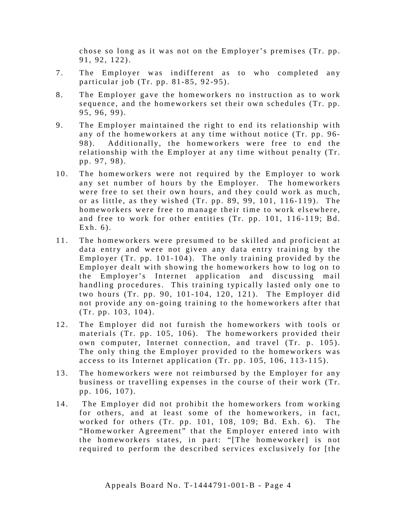chose so long as it was not on the Employer's premises (Tr. pp. 91, 92, 122).

- 7. The Employer was indifferent as to who completed any particular job (Tr. pp. 81 -85, 92 -95).
- 8 . The Employer gave the homeworkers no instruction as to work sequence, and the homeworkers set their own schedules (Tr. pp. 95, 96, 99).
- 9. The Employer maintained the right to end its relationship with any of the homeworkers at any time without notice (Tr. pp. 96- 98). Additionally, the homeworkers were free to end the relationship with the Employer at any time without penalty (Tr. pp. 97, 98).
- 10. The homeworkers were not required by the Employer to work any set number of hours by the Employer. The homeworkers were free to set their own hours, and they could work as much, or as little, as they wished  $(Tr. pp. 89, 99, 101, 116-119)$ . The homeworkers were free to manage their time to work elsewhere, and free to work for other entities (Tr. pp. 101, 116-119; Bd. Exh. 6).
- 11. The homeworkers were presumed to be skilled and proficient at data entry and were not given any data entry training by the Employer (Tr. pp.  $101-104$ ). The only training provided by the Employer dealt with showing the homeworkers how to log on to the Employer's Internet application and discussing mail handling procedures. This training typically lasted only one to two hours (Tr. pp. 90, 101- 104, 120, 121). The Employer did not provide any on-going training to the homeworkers after that (Tr. pp. 103, 104).
- 12. The Employer did not furnish the homeworkers with tools or materials (Tr. pp. 105, 106). The homeworkers provided their own computer, Internet connection, and travel (Tr. p. 105). The only thing the Employer provided to the homeworkers was access to its Internet application (Tr. pp. 105, 106, 113-115).
- 13. The homeworkers were not reimbursed by the Employer for any business or travelling expenses in the course of their work (Tr. pp. 106, 107).
- 14. The Employer did not prohibit the homeworkers from working for others, and at least some of the homeworkers, in fact, worked for others (Tr. pp. 101, 108, 109; Bd. Exh. 6). The "Homeworker Agreement" that the Employer entered into with the homeworkers states, in part: "[The homeworker] is not required to perform the described services exclusively for [the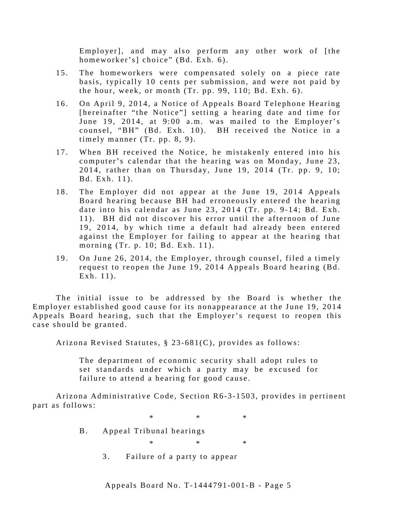Employer], and may also perform any other work of [the homeworker's] choice" (Bd. Exh. 6).

- 15. The homeworkers were compensated solely on a piece rate basis, typically 10 cents per submission, and were not paid by the hour, week, or month (Tr. pp. 99, 110; Bd. Exh. 6).
- 16. On April 9, 2014, a Notice of Appeals Board Telephone Hearing [hereinafter "the Notice"] setting a hearing date and time for June 19, 2014, at 9:00 a.m. was mailed to the Employer's counsel, "BH" (Bd. Exh. 10). BH received the Notice in a timely manner (Tr. pp. 8, 9).
- 17. When BH received the Notice, he mistakenly entered into his computer's calendar that the hearing was on Monday, June 23, 2014, rather than on Thursday, June 19, 2014 (Tr. pp. 9, 10; Bd. Exh. 11).
- 18. The Employer did not appear at the June 19, 2014 Appeals Board hearing because BH had erroneously entered the hearing date into his calendar as June 23, 2014 (Tr. pp. 9-14; Bd. Exh. 1 1 ). BH did not discover his error until the afternoon of June 19, 2014, by which time a default had already been entered against the Employer for failing to appear at the hearing that morning (Tr. p. 10; Bd. Exh. 11).
- 19. On June 26, 2014, the Employer, through counsel, filed a timely request to reopen the June 19, 2014 Appeals Board hearing (Bd. Exh.  $11$ .

The initial issue to be addressed by the Board is whether the Employer established good cause for its nonappearance at the June 19, 2014 Appeals Board hearing, such that the Employer's request to reopen this case should be granted.

Arizona Revised Statutes, § 23-681(C), provides as follows:

The department of economic security shall adopt rules to set standards under which a party may be excused for failure to attend a hearing for good cause.

Arizona Administrative Code, Section R6 -3 -1503, provides in pertinent part as follows:

 $*$  \*  $*$  \*

B. Appeal Tribunal hearings

 $*$  \*  $*$  \*

3. Failure of a party to appear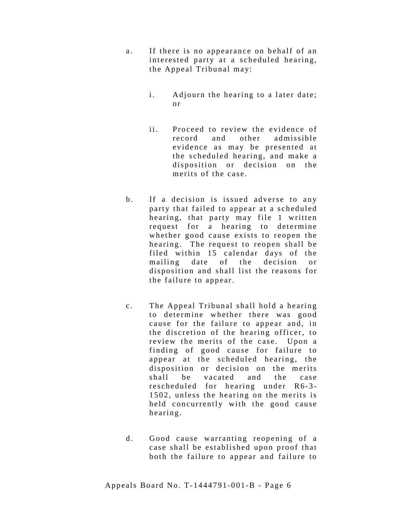- a. If there is no appearance on behalf of an interested party at a scheduled hearing, the Appeal Tribunal may:
	- i. Adjourn the hearing to a later date; o r
	- ii. Proceed to review the evidence of record and other admissible evidence as may be presented at the scheduled hearing, and make a disposition or decision on the merits of the case.
- b. If a decision is issued adverse to any party that failed to appear at a scheduled hearing, that party may file 1 written request for a hearing to determine whether good cause exists to reopen the hearing. The request to reopen shall be filed within 15 calendar days of the mailing date of the decision or disposition and shall list the reasons for the failure to appear.
- c. The Appeal Tribunal shall hold a hearing to determine whether there was good cause for the failure to appear and, in the discretion of the hearing officer, to review the merits of the case. Upon a finding of good cause for failure to appear at the scheduled hearing, the disposition or decision on the merits shall be vacated and the case rescheduled for hearing under R6-3-1502, unless the hearing on the merits is held concurrently with the good cause hearing.
- d. Good cause warranting reopening of a case shall be established upon proof that both the failure to appear and failure to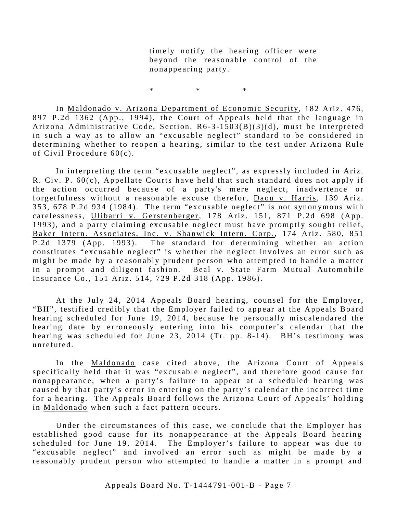timely notify the hearing officer were beyond the reasonable control of the nonappearing party.

 $*$  \*  $*$  \*

In Maldonado v. Arizona Department of Economic Security, 182 Ariz. 476, 897 P.2d 1362 (App., 1994), the Court of Appeals held that the language in Arizona Administrative Code, Section.  $R6-3-1503(B)(3)(d)$ , must be interpreted in such a way as to allow an "excusable neglect" standard to be considered in determining whether to reopen a hearing, similar to the test under Arizona Rule of Civil Procedure 60(c).

In interpreting the term "excusable neglect", as expressly included in Ariz. R. Civ. P. 60(c), Appellate Courts have held that such standard does not apply if the action occurred because of a party's mere neglect, inadvertence or forgetfulness without a reasonable excuse therefor, Daou v. Harris, 139 Ariz. 353, 678 P.2d 934 (1984). The term "excusable neglect" is not synonymous with carelessness, Ulibarri v. Gerstenberger, 178 Ariz. 151, 871 P.2d 698 (App. 1993), and a party claiming excusable neglect must have promptly sought relief, Baker Intern. Associates, Inc. v. Shanwick Intern. Corp., 174 Ariz. 580, 851 P.2d 1379 (App. 1993). The standard for determining whether an action constitutes "excusable neglect" is whether the neglect involves an error such as might be made by a reasonably prudent person who attempted to handle a matter in a prompt and diligent fashion. Beal v. State Farm Mutual Automobile Insurance Co., 151 Ariz. 514, 729 P.2d 318 (App. 1986).

At the July 24, 2014 Appeals Board hearing, counsel for the Employer, "BH", testified credibly that the Employer failed to appear at the Appeals Board hearing scheduled for June 19, 2014, because he personally miscalendared the hearing date by erroneously entering into his computer's calendar that the hearing was scheduled for June 23, 2014 (Tr. pp. 8-14).  $BH's$  testimony was unrefuted.

In the Maldonado case cited above, the Arizona Court of Appeals specifically held that it was "excusable neglect", and therefore good cause for nonappearance, when a party's failure to appear at a scheduled hearing was caused by that party's error in entering on the party's calendar the incorrect time for a hearing. The Appeals Board follows the Arizona Court of Appeals' holding in Maldonado when such a fact pattern occurs.

Under the circumstances of this case, we conclude that the Employer has established good cause for its nonappearance at the Appeals Board hearing scheduled for June 19, 2014. The Employer's failure to appear was due to "excusable neglect" and involved an error such as might be made by a reasonably prudent person who attempted to handle a matter in a prompt and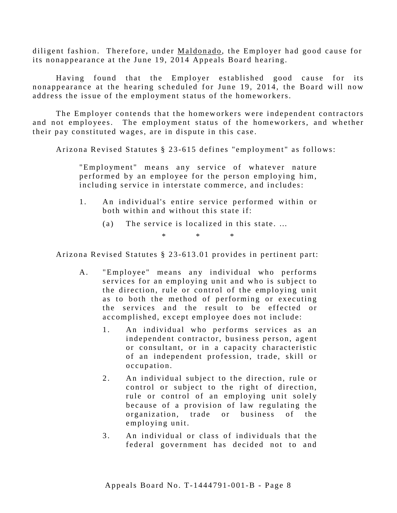diligent fashion. Therefore, under Maldonado, the Employer had good cause for its nonappearance at the June 19, 2014 Appeals Board hearing.

Having found that the Employer established good cause for its nonappearance at the hearing scheduled for June 19, 2014, the Board will now address the issue of the employment status of the homeworkers.

The Employer contends that the homeworkers were independent contractors and not employees. The employment status of the homeworkers, and whether their pay constituted wages, are in dispute in this case.

Arizona Revised Statutes § 23 -615 defines "employment" as follows:

"Employment" means any service of whatever nature performed by an employee for the person employing him, including service in interstate commerce, and includes:

- 1 . An individual's entire service performed within or both within and without this state if:
	- (a) The service is localized in this state. …

\* \* \*

Arizona Revised Statutes § 23 -613.01 provides in pertinent part:

- A. "Employee" means any individual who performs services for an employing unit and who is subject to the direction, rule or control of the employing unit as to both the method of performing or executing the services and the result to be effected or accomplished, except employee does not include:
	- 1. An individual who performs services as an independent contractor, business person, agent or consultant, or in a capacity characteristic of an independent profession, trade, skill or occupation.
	- 2. An individual subject to the direction, rule or control or subject to the right of direction, rule or control of an employing unit solely because of a provision of law regulating the organization, trade or business of the employing unit.
	- 3 . An individual or class of individuals that the federal government has decided not to and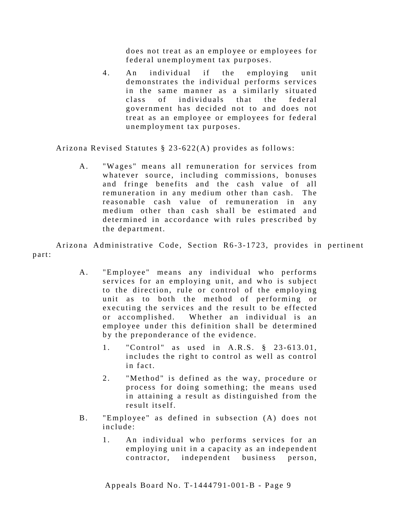does not treat as an employee or employees for federal unemployment tax purposes.

4. An individual if the employing unit demonstrates the individual performs services in the same manner as a similarly situated class of individuals that the federal government has decided not to and does not treat as an employee or employees for federal unemployment tax purposes.

Arizona Revised Statutes § 23 -622(A) provides as follows:

A. "Wages" means all remuneration for services from whatever source, including commissions, bonuses and fringe benefits and the cash value of all remuneration in any medium other than cash. The reasonable cash value of remuneration in any medium other than cash shall be estimated and determined in accordance with rules prescribed by the department.

Arizona Administrative Code, Section R6-3-1723, provides in pertinent part:

- A. "Employee" means any individual who performs services for an employing unit, and who is subject to the direction, rule or control of the employing unit as to both the method of performing or executing the services and the result to be effected or accomplished. Whether an individual is an employee under this definition shall be determined by the preponderance of the evidence.
	- 1. "Control" as used in A.R.S. § 23-613.01, includes the right to control as well as control in fact.
	- 2. "Method" is defined as the way, procedure or process for doing something; the means used in attaining a result as distinguished from the result itself.
- B. "Employee" as defined in subsection (A) does not include:
	- 1. An individual who performs services for an employing unit in a capacity as an independent contractor, independent business person,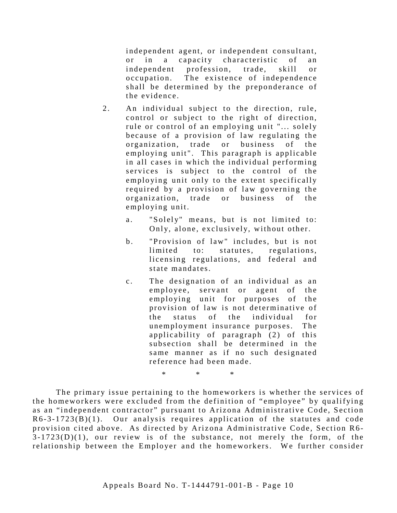independent agent, or independent consultant, or in a capacity characteristic of an independent profession, trade, skill or occupation. The existence of independence shall be determined by the preponderance of the evidence.

- 2. An individual subject to the direction, rule, control or subject to the right of direction, rule or control of an employing unit "... solely because of a provision of law regulating the organization, trade or business of the employing unit". This paragraph is applicable in all cases in which the individual performing services is subject to the control of the employing unit only to the extent specifically required by a provision of law governing the organization, trade or business of the employing unit.
	- a. "Solely" means, but is not limited to: Only, alone, exclusively, without other.
	- b. "Provision of law" includes, but is not limited to: statutes, regulations, licensing regulations, and federal and state mandates.
	- c. The designation of an individual as an employee, servant or agent of the employing unit for purposes of the provision of law is not determinative of the status of the individual for unemployment insurance purposes. The applicability of paragraph (2) of this subsection shall be determined in the same manner as if no such designated reference had been made.

The primary issue pertaining to the homeworkers is whether the services of the homeworkers were excluded from the definition of "employee" by qualifying as an "independent contractor" pursuant to Arizona Administrative Code, Section  $R6-3-1723(B)(1)$ . Our analysis requires application of the statutes and code provision cited above. As directed by Arizona Administrative Code, Section R6 -  $3-1723(D)(1)$ , our review is of the substance, not merely the form, of the relationship between the Employer and the homeworkers. We further consider

\* \* \*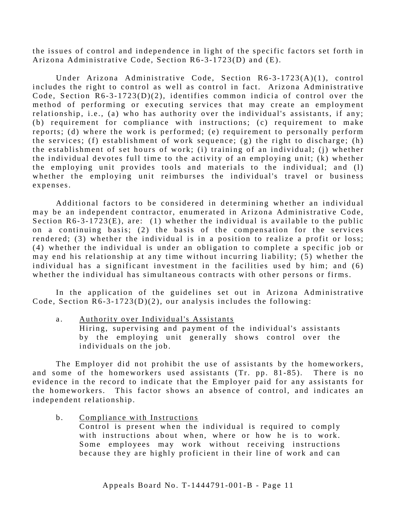the issues of control and independence in light of the specific factors set forth in Arizona Administrative Code, Section R6-3-1723(D) and (E).

Under Arizona Administrative Code, Section R6-3-1723(A)(1), control includes the right to control as well as control in fact. Arizona Administrative Code, Section  $R6-3-1723(D)(2)$ , identifies common indicia of control over the method of performing or executing services that may create an employment relationship, i.e., (a) who has authority over the individual's assistants, if any; (b) requirement for compliance with instructions; (c) requirement to make reports; (d) where the work is performed; (e) requirement to personally perform the services; (f) establishment of work sequence; (g) the right to discharge; (h) the establishment of set hours of work; (i) training of an individual; (j) whether the individual devotes full time to the activity of an employing unit; (k) whether the employing unit provides tools and materials to the individual; and (l) whether the employing unit reimburses the individual's travel or business expenses.

Additional factors to be considered in determining whether an individual may be an independent contractor, enumerated in Arizona Administrative Code, Section  $R6 - 3 - 1723(E)$ , are: (1) whether the individual is available to the public on a continuing basis; (2) the basis of the compensation for the services rendered; (3) whether the individual is in a position to realize a profit or loss; (4) whether the individual is under an obligation to complete a specific job or may end his relationship at any time without incurring liability; (5) whether the individual has a significant investment in the facilities used by him; and (6) whether the individual has simultaneous contracts with other persons or firms.

In the application of the guidelines set out in Arizona Administrative Code, Section  $R6 - 3 - 1723(D)(2)$ , our analysis includes the following:

a. Authority over Individual's Assistants Hiring, supervising and payment of the individual's assistants by the employing unit generally shows control over the individuals on the job.

The Employer did not prohibit the use of assistants by the homeworkers, and some of the homeworkers used assistants (Tr. pp. 81-85). There is no evidence in the record to indicate that the Employer paid for any assistants for the homeworkers. This factor shows an absence of control, and indicates an independent relationship.

b. Compliance with Instructions

Control is present when the individual is required to comply with instructions about when, where or how he is to work. Some employees may work without receiving instructions because they are highly proficient in their line of work and can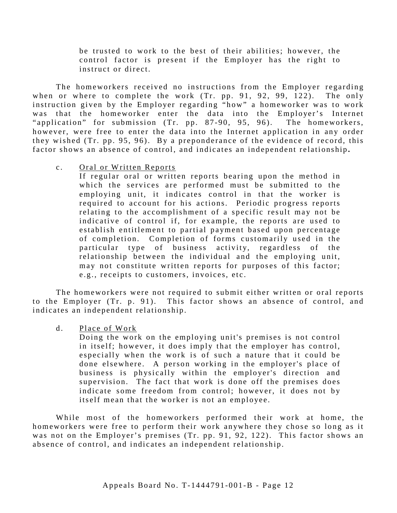be trusted to work to the best of their abilities; however, the control factor is present if the Employer has the right to instruct or direct.

The homeworkers received no instructions from the Employer regarding when or where to complete the work (Tr. pp. 91, 92, 99,  $122$ ). The only instruction given by the Employer regarding "how" a homeworker was to work was that the homeworker enter the data into the Employer's Internet "application" for submission (Tr. pp. 87-90, 95, 96). The homeworkers, however, were free to enter the data into the Internet application in any order they wished (Tr. pp. 95, 96). By a preponderance of the evidence of record, this factor shows an absence of control, and indicates an independent relationship.

c. Oral or Written Reports

If regular oral or written reports bearing upon the method in which the services are performed must be submitted to the employing unit, it indicates control in that the worker is required to account for his actions. Periodic progress reports relating to the accomplishment of a specific result may not be indicative of control if, for example, the reports are used to establish entitlement to partial payment based upon percentage of completion. Completion of forms customarily used in the particular type of business activity, regardless of the relationship between the individual and the employing unit, may not constitute written reports for purposes of this factor; e.g., receipts to customers, invoices, etc.

The homeworkers were not required to submit either written or oral reports to the Employer (Tr. p. 91). This factor shows an absence of control, and indicates an independent relationship.

#### d. Place of Work

Doing the work on the employing unit's premises is not control in itself; however, it does imply that the employer has control, especially when the work is of such a nature that it could be done elsewhere. A person working in the employer's place of business is physically within the employer's direction and supervision. The fact that work is done off the premises does indicate some freedom from control; however, it does not by itself mean that the worker is not an employee.

While most of the homeworkers performed their work at home, the homeworkers were free to perform their work anywhere they chose so long as it was not on the Employer's premises (Tr. pp. 91, 92, 122). This factor shows an absence of control, and indicates an independent relationship.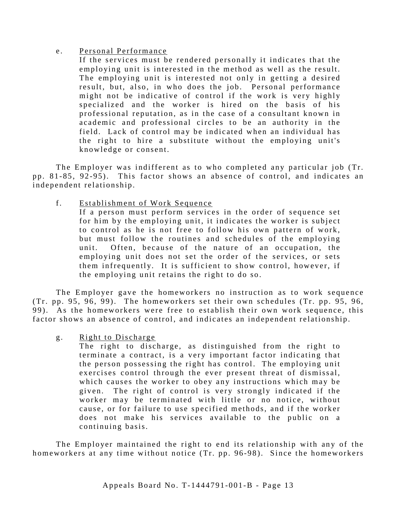#### e. Personal Performance

If the services must be rendered personally it indicates that the employing unit is interested in the method as well as the result. The employing unit is interested not only in getting a desired result, but, also, in who does the job. Personal performance might not be indicative of control if the work is very highly specialized and the worker is hired on the basis of his professional reputation, as in the case of a consultant known in academic and professional circles to be an authority in the field. Lack of control may be indicated when an individual has the right to hire a substitute without the employing unit's knowledge or consent.

The Employer was indifferent as to who completed any particular job (Tr. pp. 81-85, 92-95). This factor shows an absence of control, and indicates an independent relationship.

f. Establishment of Work Sequence

If a person must perform services in the order of sequence set for him by the employing unit, it indicates the worker is subject to control as he is not free to follow his own pattern of work, but must follow the routines and schedules of the employing unit. Often, because of the nature of an occupation, the employing unit does not set the order of the services, or sets them infrequently. It is sufficient to show control, however, if the employing unit retains the right to do so.

The Employer gave the homeworkers no instruction as to work sequence (Tr. pp. 95, 96, 99). The homeworkers set their own sch edules (Tr. pp. 95, 96, 99). As the homeworkers were free to establish their own work sequence, this factor shows an absence of control, and indicates an independent relationship.

g. Right to Discharge

The right to discharge, as distinguished from the right to terminate a contract, is a very important factor indicating that the person possessing the right has control. The employing unit exercises control through the ever present threat of dismissal, which causes the worker to obey any instructions which may be given. The right of control is very strongly indicated if the worker may be terminated with little or no notice, without cause, or for failure to use specified methods, and if the worker does not make his services available to the public on a continuing basis.

The Employer maintained the right to end its relationship with any of the homeworkers at any time without notice (Tr. pp. 96-98). Since the homeworkers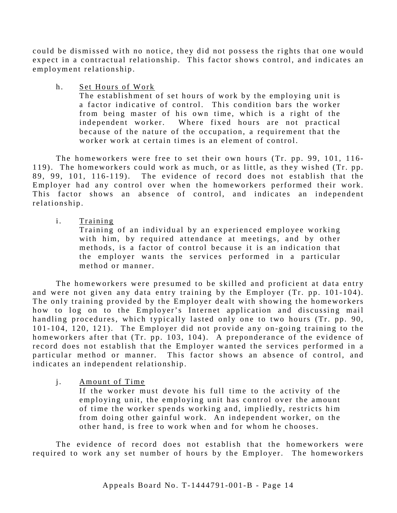could be dismissed with no notice, they did not possess the rights that one would expect in a contractual relationship. This factor shows control, and indicates an employment relationship.

h. Set Hours of Work

The establishment of set hours of work by the employing unit is a factor indicative of control. This condition bars the worker from being master of his own time, which is a right of the independent worker. Where fixed hours are not practical because of the nature of the occupation, a requirement that the worker work at certain times is an element of control.

The homeworkers were free to set their own hours (Tr. pp. 99, 101, 116-119) . The homeworkers could work as much, or as little, as they wished (Tr. pp. 89, 99, 101, 116-119). The evidence of record does not establish that the Employer had any control over when the homeworkers performed their work. This factor shows an absence of control, and indicates an independent relationship.

i. Training

Training of an individual by an experienced employee working with him, by required attendance at meetings, and by other methods, is a factor of control because it is an indication that the employer wants the services performed in a particular method or manner.

The homeworkers were presumed to be skilled and proficient at data entry and were not given any data entry training by the Employer (Tr. pp. 101-104). The only training provided by the Employer dealt with showing the homeworkers how to log on to the Employer's Internet application and discussing mail handling procedures, which typically lasted only one to two hours (Tr. pp. 90, 101-104, 120, 121). The Employer did not provide any on-going training to the homeworkers after that  $(Tr. pp. 103, 104)$ . A preponderance of the evidence of record does not establish that the Employer wanted the services performed in a particular method or manner. This factor shows an absence of control, and indicates an independent relationship.

j. Amount of Time

If the worker must devote his full time to the activity of the employing unit, the employing unit has control over the amount of time the worker spends working and, impliedly, restricts him from doing other gainful work. An independent worker, on the other hand, is free to work when and for whom he chooses.

The evidence of record does not establish that the homeworkers were required to work any set number of hours by the Employer. The homeworkers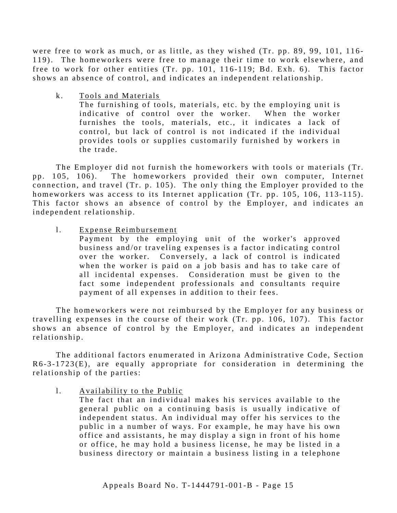were free to work as much, or as little, as they wished (Tr. pp. 89, 99, 101, 116-119). The homeworkers were free to manage their time to work elsewhere, and free to work for other entities (Tr. pp. 101, 116-119; Bd. Exh. 6). This factor shows an absence of control, and indicates an independent relationship.

k. Tools and Materials

The furnishing of tools, materials, etc. by the employing unit is indicative of control over the worker. When the worker furnishes the tools, materials, etc., it indicates a lack of control, but lack of control is not indicated if the individual provides tools or supplies customarily furnished by workers in the trade.

The Employer did not furnish the homeworkers with tools or materials (Tr. pp. 105, 106). The homeworkers provided their own computer, Internet connection, and travel  $(Tr. p. 105)$ . The only thing the Employer provided to the homeworkers was access to its Internet application (Tr. pp. 105, 106, 113-115). This factor shows an absence of control by the Employer, and indicates an independent relationship.

1. Expense Reimbursement

Payment by the employing unit of the worker's approved business and/or traveling expenses is a factor indicating control over the worker. Conversely, a lack of control is indicated when the worker is paid on a job basis and has to take care of all incidental expenses. Consideration must be given to the fact some independent professionals and consultants require payment of all expenses in addition to their fees.

The homeworkers were not reimbursed by the Employer for any business or travelling expenses in the course of their work (Tr. pp. 106, 107). This factor shows an absence of control by the Employer, and indicates an independent relationship.

The additional factors enumerated in Arizona Administrative Code, Section  $R6-3-1723(E)$ , are equally appropriate for consideration in determining the relationship of the parties:

1. Availability to the Public

The fact that an individual makes his services available to the general public on a continuing basis is usually indicative of independent status. An individual may offer his services to the public in a number of ways. For example, he may have his own office and assistants, he may display a sign in front of his home or office, he may hold a business license, he may be listed in a business directory or maintain a business listing in a telephone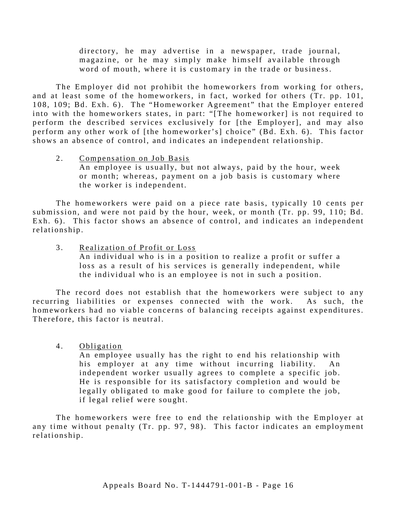directory, he may advertise in a newspaper, trade journal, magazine, or he may simply make himself available through word of mouth, where it is customary in the trade or business.

The Employer did not prohibit the homeworkers from working for others, and at least some of the homeworkers, in fact, worked for others (Tr. pp. 101, 108, 109; Bd. Exh. 6). The "Homeworker Agreement" that the Employer entered into with the homeworkers states, in part: "[The homeworker] is not required to perform the described services exclusively for [the Employer], and may also perform any other work of [the homeworker's] choice" (Bd. Exh. 6). This factor shows an absence of control, and indicates an independent relationship.

#### 2. Compensation on Job Basis An employee is usually, but not always, paid by the hour, week or month; whereas, payment on a job basis is customary where the worker is independent.

The homeworkers were paid on a piece rate basis, typically 10 cents per submission, and were not paid by the hour, week, or month (Tr. pp. 99, 110; Bd. Exh. 6). This factor shows an absence of control, and indicates an independent relationship.

3. Realization of Profit or Loss An individual who is in a position to realize a profit or suffer a loss as a result of his services is generally independent, while the individual who is an employee is not in such a position.

The record does not establish that the homeworkers were subject to any recurring liabilities or expenses connected with the work. As such, the homeworkers had no viable concerns of balancing receipts against expenditures. Therefore, this factor is neutral.

4. Obligation

An employee usually has the right to end his relationship with his employer at any time without incurring liability. An independent worker usually agrees to complete a specific job. He is responsible for its satisfactory completion and would be legally obligated to make good for failure to complete the job, if legal relief were sought.

The homeworkers were free to end the relationship with the Employer at any time without penalty (Tr. pp. 97, 98). This factor indicates an employment relationship.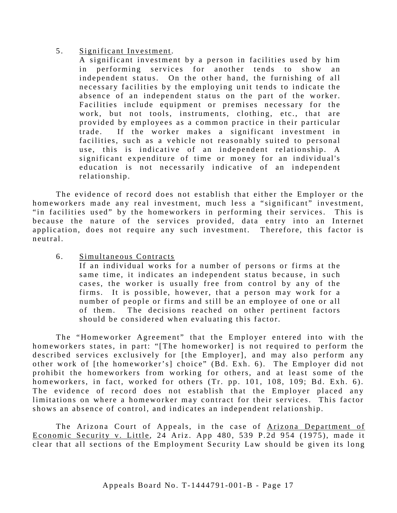#### 5 . Significant Investment.

A significant investment by a person in facilities used by him in performing services for another tends to show an independent status. On the other hand, the furnishing of all necessary facilities by the employing unit tends to indicate the absence of an independent status on the part of the worker. Facilities include equipment or premises necessary for the work, but not tools, instruments, clothing, etc., that are provided by employees as a common practice in their particular trade. If the worker makes a significant investment in facilities, such as a vehicle not reasonably suited to personal use, this is indicative of an independent relationship. A significant expenditure of time or money for an individual's education is not necessarily indicative of an independent relationship.

The evidence of record does not establish that either the Employer or the homeworkers made any real investment, much less a "significant" investment, "in facilities used" by the homeworkers in performing their services. This is because the nature of the services provided, data entry into an Internet application, does not require any such investment. Therefore, this factor is neutral.

6 . Simultaneous Contracts

If an individual works for a number of persons or firms at the same time, it indicates an independent status because, in such cases, the worker is usually free from control by any of the firms. It is possible, however, that a person may work for a number of people or firms and still be an employee of one or all of them. The decisions reached on other pertinent factors should be considered when evaluating this factor.

The "Homeworker Agreement" that the Employer entered into with the homeworkers states, in part: "[The homeworker] is not required to perform the described services exclusively for [the Employer], and may also perform any other work of [the homeworker's] choice" (Bd. Exh. 6). The Employer did not prohibit the homeworkers from working for others, and at least some of the homeworkers, in fact, worked for others (Tr. pp. 101, 108, 109; Bd. Exh. 6). The evidence of record does not establish that the Employer placed any limitations on where a homeworker may contract for their services. This factor shows an absence of control, and indicates an independent relationship.

The Arizona Court of Appeals, in the case of Arizona Department of Economic Security v. Little, 24 Ariz. App  $480$ , 539 P.2d 954 (1975), made it clear that all sections of the Employment Security Law should be given its long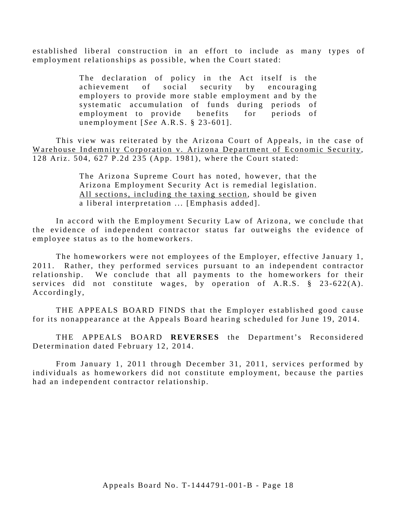established liberal construction in an effort to include as many types of employment relationships as possible, when the Court stated:

> The declaration of policy in the Act itself is the achievement of social security by encouraging employers to provide more stable employment and by the systematic accumulation of funds during periods of employment to provide benefits for periods of unemployment [ *See* A.R.S. § 23- 601].

This view was reiterated by the Arizona Court of Appeals, in the case of Warehouse Indemnity Corporation v. Arizona Department of Economic Security, 128 Ariz. 504, 627 P.2d 235 (App. 1981), where the Court stated:

> The Arizona Supreme Court has noted, however, that the Arizona Employment Security Act is remedial legislation. All sections, including the taxing section, should be given a liberal interpretation ... [Emphasis added].

In accord with the Employment Security Law of Arizona, we conclude that the evidence of independent contractor status far outweighs the evidence of employee status as to the homeworkers.

The homeworkers were not employees of the Employer, effective January 1, 2011. Rather, they performed services pursuant to an independent contractor relationship. We conclude that all payments to the homeworkers for their services did not constitute wages, by operation of  $A.R.S. \S$  23-622(A). Accordingly,

THE APPEALS BOARD FINDS that the Employer established good cause for its nonappearance at the Appeals Board hearing scheduled for June 19, 2014.

THE APPEALS BOARD REVERSES the Department's Reconsidered Determination dated February 12, 2014.

From January 1, 2011 through December 31, 2011, services performed by individuals as homeworkers did not constitute employment, because the parties had an independent contractor relationship.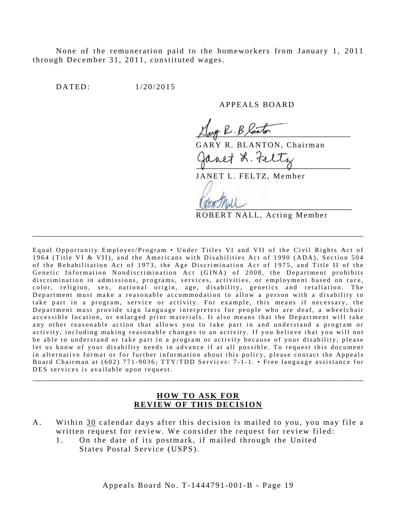None of the remuneration paid to the homeworkers from January 1, 2011 through December 31, 2011, constituted wages.

DATED: 1/20/2015

APPEALS BOARD

R. B laster

GARY R. BLANTON, Chairman

anet L. Feltz

JANET L. FELTZ, Member

ROBERT NALL, Acting Member

Equal Opportunity Employer/Program • Under Titles VI and VII of the Civil Rights Act of 1964 (Title VI & VII), and the Americans with Disabilities Act of 1990 (ADA), Section 504 of the Rehabilitation Act of 1973, the Age Discrimination Act of 1975, and Title II of the Genetic Information Nondiscrimination Act (GINA) of 2008, the Department prohibits discrimination in admissions, programs, services, activities, or employment based on race, color, religion, sex, national origin, age, disability, genetics and retaliation. The Department must make a reasonable accommodation to allow a person with a disability to take part in a program, service or activity. For example, this means if necessary, the Department must provide sign language interpreters for people who are deaf, a wheelchair accessible location, or enlarged print materials. It also means that the Department will take any other reasonable action that allows you to take part in and understand a program or activity, including making reasonable changes to an activity. If you believe that you will not be able to understand or take part in a program or activity because of your disability, please let us know of your disability needs in advance if at all possible. To request this document in alternative format or for further information about this policy, please contact the Appeals Board Chairman at (602) 771-9036; TTY/TDD Services: 7-1-1. • Free language assistance for DES services is available upon request.

\_\_\_\_\_\_\_\_\_\_\_\_\_\_\_\_\_\_\_\_\_\_\_\_\_\_\_\_\_\_\_\_\_\_\_\_\_\_\_\_\_\_\_\_\_\_\_\_\_\_\_\_\_\_\_\_\_\_\_\_\_\_\_\_\_\_\_\_\_\_\_\_\_\_\_\_\_\_\_\_\_\_\_\_\_

#### **HOW TO ASK FOR REVIEW OF THIS DECISION**

\_\_\_\_\_\_\_\_\_\_\_\_\_\_\_\_\_\_\_\_\_\_\_\_\_\_\_\_\_\_\_\_\_\_\_\_\_\_\_\_\_\_\_\_\_\_\_\_\_\_\_\_\_\_\_\_\_\_\_\_\_\_\_\_\_\_\_\_\_\_\_\_\_\_\_\_\_\_\_\_\_\_\_\_\_

- A. Within 30 calendar days after this decision is mailed to you, you may file a written request for review. We consider the request for review filed:
	- 1. On the date of its postmark, if mailed through the United States Postal Service (USPS).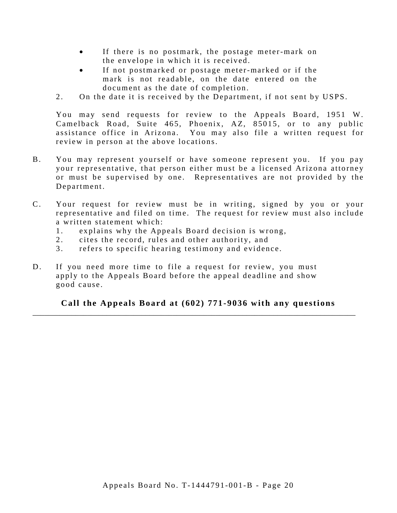- If there is no postmark, the postage meter-mark on the envelope in which it is received.
- If not postmarked or postage meter-marked or if the mark is not readable, on the date entered on the document as the date of completion.
- 2. On the date it is received by the Department, if not sent by USPS.

You may send requests for review to the Appeals Board, 1951 W. Camelback Road, Suite 465, Phoenix, AZ, 85015, or to any public assistance office in Arizona. You may also file a written request for review in person at the above locations.

- B. You may represent yourself or have someone represent you. If you pay your representative, that person either must be a licensed Arizona attorney or must be supervised by one. Representatives are not provided by the Department.
- C. Your request for review must be in writing, signed by you or your representative and filed on time. The request for review must also include a written statement which:
	- 1. explains why the Appeals Board decision is wrong,
	- 2. cites the record, rules and other authority, and
	- 3. refers to specific hearing testimony and evidence.
- D. If you need more time to file a request for review, you must apply to the Appeals Board before the appeal deadline and show good cause.

**Call the Appeals Board at (602) 771-9036 with any questions**

\_\_\_\_\_\_\_\_\_\_\_\_\_\_\_\_\_\_\_\_\_\_\_\_\_\_\_\_\_\_\_\_\_\_\_\_\_\_\_\_\_\_\_\_\_\_\_\_\_\_\_\_\_\_\_\_\_\_\_\_\_\_\_\_\_\_\_\_\_\_\_\_\_\_\_\_\_\_\_\_\_\_\_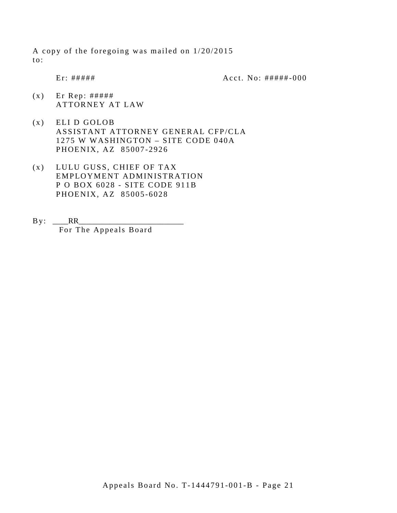A copy of the foregoing was mailed on 1/20/2015 to:

Er: ##### Acct. No: ##### - 000

- $(x)$  Er Rep: ##### ATTORNEY AT LAW
- (x) ELI D GOLOB ASSISTANT ATTORNEY GENERAL CFP/CLA 1275 W WASHINGTON – SITE CODE 040A PHOENIX, AZ 85007 -2926
- (x) LULU GUSS, CHIEF OF TAX EMPLOYMENT ADMINISTRATION P O BOX 6028 - SITE CODE 911B PHOENIX, AZ 85005 -6028
- $By: \_\_\_RR$ For The Appeals Board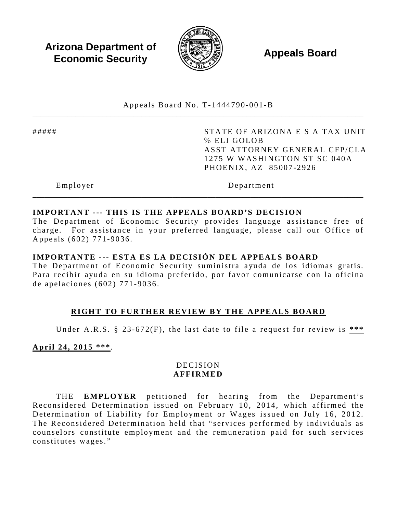**Arizona Department of Economic Security Appeals Board**<br> **Economic Security** 



Appeals Board No. T- 1444790 -001 -B \_\_\_\_\_\_\_\_\_\_\_\_\_\_\_\_\_\_\_\_\_\_\_\_\_\_\_\_\_\_\_\_\_\_\_\_\_\_\_\_\_\_\_\_\_\_\_\_\_\_\_\_\_\_\_\_\_\_\_\_\_\_\_\_\_\_\_\_\_\_\_\_\_\_\_\_\_\_\_\_\_\_\_\_\_

##### STATE OF ARIZONA E S A TAX UNIT ℅ ELI GOLOB ASST ATTORNEY GENERAL CFP/CLA 1275 W WASHINGTON ST SC 040A PHOENIX, AZ 85007 -2926

Employer Department

## **IMPORTANT --- THIS IS THE APPEALS BOARD'S DECISION**

The Department of Economic Security provides language assistance free of charge. For assistance in your preferred language, please call our Office of Appeals (602) 771 -9036 .

\_\_\_\_\_\_\_\_\_\_\_\_\_\_\_\_\_\_\_\_\_\_\_\_\_\_\_\_\_\_\_\_\_\_\_\_\_\_\_\_\_\_\_\_\_\_\_\_\_\_\_\_\_\_\_\_\_\_\_\_\_\_\_\_\_\_\_\_\_\_\_\_\_\_\_\_\_\_\_\_\_\_\_\_\_

#### **IMPORTANTE --- ESTA ES LA DECISIÓN DEL APPEALS BOARD**

The Department of Economic Security suministra ayuda de los idiomas gratis. Para recibir ayuda en su idioma preferido, por favor comunicarse con la oficina de apelaciones (602) 771 - 9036 .

## **RIGHT TO FURTHER REVIEW BY THE APPEALS BOARD**

Under A.R.S. § 23 -672(F), the last date to file a request for review is **\*\*\*** 

**April 24, 2015 \*\*\***.

## DECISION **AFFIRMED**

THE **EMPLOYER** petitioned for hearing from the Department's Reconsidered Determination issued on February 10, 2014, which affirmed the Determination of Liability for Employment or Wages issued on July 16, 2012. The Reconsidered Determination held that "services performed by individuals as counselors constitute employment and the remuneration paid for such services constitutes wages."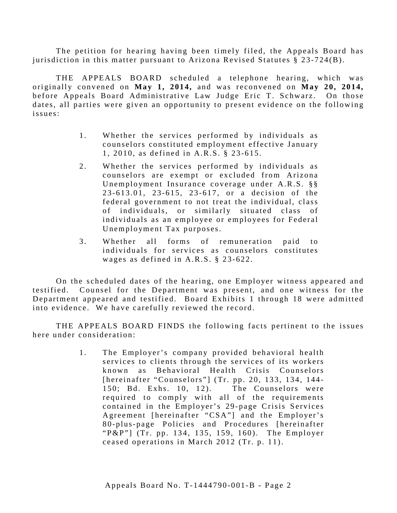The petition for hearing having been timely filed, the Appeals Board has jurisdiction in this matter pursuant to Arizona Revised Statutes § 23 -724(B).

THE APPEALS BOARD scheduled a telephone hearing, which was originally convened on **May 1, 2014,** and was reconvened on **May 20, 2014,** before Appeals Board Administrative Law Judge Eric T. Schwarz. On those dates, all parties were given an opportunity to present evidence on the following issues:

- 1. Whether the services performed by individuals as counselors constituted employment effective January 1, 2010, as defined in A.R.S. § 23 -615.
- 2. Whether the services performed by individuals as counselors are exempt or excluded from Arizona Unemployment Insurance coverage under A.R.S. §§ 2 3 -613.01, 23 -615, 23 - 617, or a decision of the federal government to not treat the individual, class of individuals, or similarly situated class of individuals as an employee or employees for Federal Unemployment Tax purposes.
- 3 . Whether all forms of remuneration paid to individuals for services as counselors constitutes wages as defined in A.R.S. § 23-622.

On the scheduled dates of the hearing, one Employer witness appeared and testified. Counsel for the Department was present, and one witness for the Department appeared and testified. Board Exhibits 1 through 18 were admitted into evidence. We have carefully reviewed the record.

THE APPEALS BOARD FINDS the following facts pertinent to the issues here under consideration:

> 1. The Employer's company provided behavioral health services to clients through the services of its workers known as Behavioral Health Crisis Counselors [hereinafter "Counselors"] (Tr. pp. 20, 133, 134, 144-150; Bd. Exhs. 10, 12). The Counselors were required to comply with all of the requirements contained in the Employer's 29-page Crisis Services Agreement [hereinafter "CSA"] and the Employer's 8 0 -plus- page Policies and Procedures [hereinafter "P&P"] (Tr. pp. 134, 135, 159, 160). The Employer ceased operations in March 2012 (Tr. p. 11).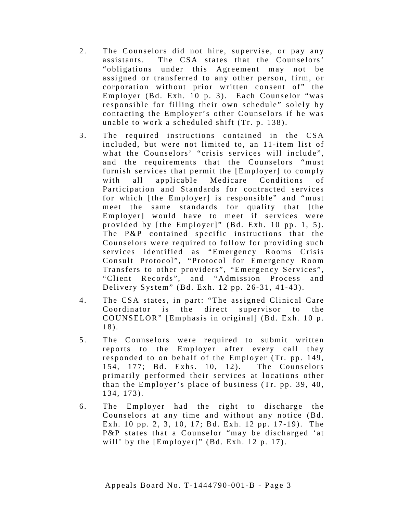- 2. The Counselors did not hire, supervise, or pay any assistants. The CSA states that the Counselors' " obligations under this Agreement may not be assigned or transferred to any other person, firm, or corporation without prior written consent of" the Employer (Bd. Exh. 10 p. 3). Each Counselor "was responsible for filling their own schedule" solely by cont acting the Employer's other Counselors if he was unable to work a scheduled shift (Tr. p. 138).
- 3 . The required instructions contained in the CSA included, but were not limited to, an 11-item list of what the Counselors' "crisis services will include", and the requirements that the Counselors "must furnish services that permit the [Employer] to comply with all applicable Medicare Conditions of Participation and Standards for contracted services for which [the Employer] is responsible" and "must meet the same standards for quality that [the Employer] would have to meet if services were provided by  $[$ the Employer $]$ " (Bd. Exh. 10 pp. 1, 5). The P&P contained specific instructions that the Counselors were required to follow for providing such services identified as "Emergency Rooms Crisis Consult Protocol", "Protocol for Emergency Room Transfers to other providers", "Emergency Services", "Client Records", and "Admission Process and Delivery System" (Bd. Exh. 12 pp. 26- 31, 41 -43).
- 4. The CSA states, in part: "The assigned Clinical Care Coordinator is the direct supervisor to the COUNSELOR" [Emphasis in original] (Bd. Exh. 10 p. 18).
- 5 . The Counselors were required to submit written reports to the Employer after every call they responded to on behalf of the Employer (Tr. pp. 149, 154, 177; Bd. Exhs. 10, 12). The Counselors primarily performed their services at locations other than the Employer's place of business (Tr. pp. 39, 40, 134, 173).
- 6 . The Employer had the right to discharge the Counselors at any time and without any notice (Bd. Exh. 10 pp. 2, 3, 10, 17; Bd. Exh. 12 pp. 17 -19). The P&P states that a Counselor "may be discharged 'at will' by the  $[Employer]'$  (Bd. Exh. 12 p. 17).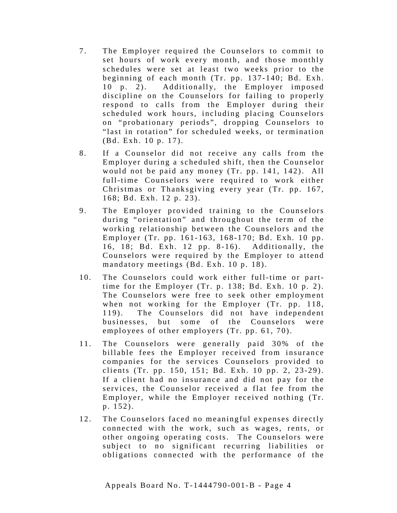- 7 . The Employer required the Counselors to commit to set hours of work every month, and those monthly schedules were set at least two weeks prior to the beginning of each month (Tr. pp. 137-140; Bd. Exh. 10 p. 2). Additionally, the Employer imposed discipline on the Counselors for failing to properly respond to calls from the Employer during their scheduled work hours, including placing Counselors on "probationary periods", dropping Counselors to "last in rotation" for scheduled weeks, or termination (Bd. Exh. 10 p. 17).
- 8. If a Counselor did not receive any calls from the Employer during a scheduled shift, then the Counselor would not be paid any money (Tr. pp. 141, 142). All full-time Counselors were required to work either Christmas or Thanksgiving every year (Tr. pp. 167, 168; Bd. Exh. 12 p. 23) .
- 9. The Employer provided training to the Counselors during "orientation" and throughout the term of the working relationship between the Counselors and the Employer (Tr. pp. 161- 163, 168 -170; Bd. Exh. 10 pp. 16, 18; Bd. Exh. 12 pp. 8-16). Additionally, the Counselors were required by the Employer to attend mandatory meetings (Bd. Exh. 10 p. 18).
- 10. The Counselors could work either full-time or parttime for the Employer  $(Tr. p. 138; Bd. Exh. 10 p. 2)$ . The Counselors were free to seek other employment when not working for the Employer (Tr. pp. 118, 119). The Counselors did not have independent businesses, but some of the Counselors were employees of other employers (Tr. pp. 61, 70) .
- 11. The Counselors were generally paid 30% of the billable fees the Employer received from insurance companies for the services Counselors provided to clients (Tr. pp. 150, 151; Bd. Exh. 10 pp. 2, 23-29). If a client had no insurance and did not pay for the services, the Counselor received a flat fee from the Employer, while the Employer received nothing (Tr. p. 152).
- 12. The Counselors faced no meaningful expenses directly connected with the work, such as wages, rents, or other ongoing operating costs. The Counselors were subject to no significant recurring liabilities or obligations connected with the performance of the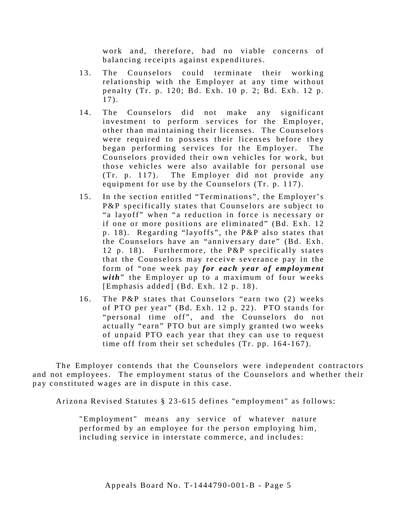work and, therefore, had no viable concerns of balancing receipts against expenditures.

- 13. The Counselors could terminate their working relationship with the Employer at any time without penalty (Tr. p. 120; Bd. Exh. 10 p. 2; Bd. Exh. 12 p.  $17$ .
- 14. The Counselors did not make any significant investment to perform services for the Employer, other than maintaining their licenses. The Counselors were required to possess their licenses before they began performing services for the Employer. The Counselors provided their own vehicles for work, but those vehicles were also available for personal use (Tr. p. 117). The Employer did not provide any equipment for use by the Counselors (Tr. p. 117).
- 15. In the section entitled "Terminations", the Employer's P&P specifically states that Counselors are subject to "a layoff" when "a reduction in force is necessary or if one or more positions are eliminated" (Bd. Exh. 12 p. 18). Regarding "layoffs", the P&P also states that the Counselors have an "anniversary date" (Bd. Exh. 12 p. 18). Furthermore, the P&P specifically states that the Counselors may receive severance pay in the form of "one week pay *for each year of employment with*" the Employer up to a maximum of four weeks [Emphasis added] (Bd. Exh. 12 p. 18).
- 16. The P&P states that Counselors "earn two (2) weeks of PTO per year" (Bd. Exh. 12 p. 22). PTO stands for "personal time off", and the Counselors do not actually "earn" PTO but are simply granted two weeks of unpaid PTO each year that they can use to request time off from their set schedules (Tr. pp. 164-167).

The Employer contends that the Counselors were independent contractors and not employees. The employment status of the Counselors and whether their pay constituted wages are in dispute in this case.

Arizona Revised Statutes § 23 -615 defines "employment" as follows:

"Employment" means any service of whatever nature performed by an employee for the person employing him, including service in interstate commerce, and includes: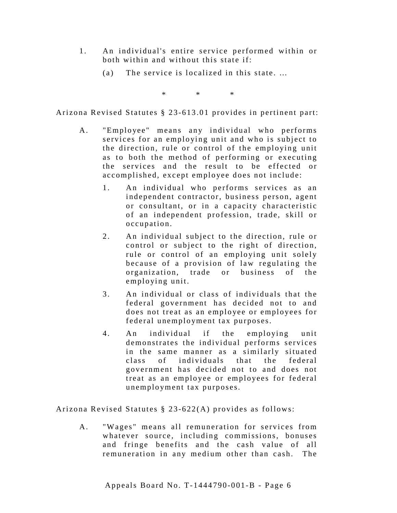- 1 . An individual's entire service performed within or both within and without this state if:
	- (a) The service is localized in this state. …

\* \* \*

Arizona Revised Statutes § 23 -613.01 provides in pertinent part:

- A. "Employee" means any individual who performs services for an employing unit and who is subject to the direction, rule or control of the employing unit as to both the method of performing or executing the services and the result to be effected or accomplished, except employee does not include:
	- 1. An individual who performs services as an independent contractor, business person, agent or consultant, or in a capacity characteristic of an independent profession, trade, skill or occupation.
	- 2. An individual subject to the direction, rule or control or subject to the right of direction, rule or control of an employing unit solely because of a provision of law regulating the organization, trade or business of the employing unit.
	- 3. An individual or class of individuals that the federal government has decided not to and does not treat as an employee or employees for federal unemployment tax purposes.
	- 4 . An individual if the employing unit demonstrates the individual performs services in the same manner as a similarly situated class of individuals that the federal government has decided not to and does not treat as an employee or employees for federal unemployment tax purposes.

Arizona Revised Statutes § 23 -622(A) provides as follows:

A. "Wages" means all remuneration for services from whatever source, including commissions, bonuses and fringe benefits and the cash value of all remuneration in any medium other than cash. The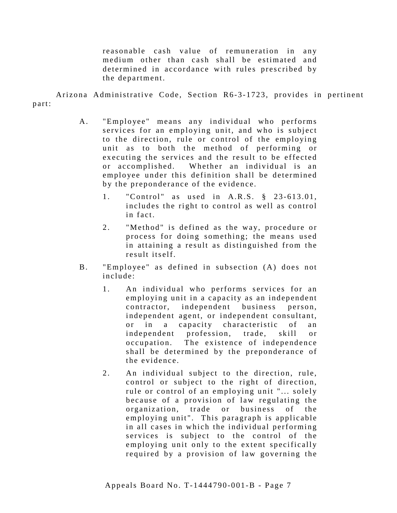reasonable cash value of remuneration in any medium other than cash shall be estimated and determined in accordance with rules prescribed by the department.

Arizona Administrative Code, Section R6-3-1723, provides in pertinent part:

- A. "Employee" means any individual who performs services for an employing unit, and who is subject to the direction, rule or control of the employing unit as to both the method of performing or executing the services and the result to be effected or accomplished. Whether an individual is an employee under this definition shall be determined by the preponderance of the evidence.
	- 1. "Control" as used in A.R.S. § 23-613.01, includes the right to control as well as control in fact.
	- 2. "Method" is defined as the way, procedure or process for doing something; the means used in attaining a result as distinguished from the result itself.
- B. "Employee" as defined in subsection (A) does not include:
	- 1. An individual who performs services for an employing unit in a capacity as an independent contractor, independent business person, independent agent, or independent consultant, or in a capacity characteristic of an independent profession, trade, skill or occupation. The existence of independence shall be determined by the preponderance of the evidence.
	- 2. An individual subject to the direction, rule, control or subject to the right of direction, rule or control of an employing unit "... solely because of a provision of law regulating the organization, trade or business of the employing unit". This paragraph is applicable in all cases in which the individual performing services is subject to the control of the employing unit only to the extent specifically required by a provision of law governing the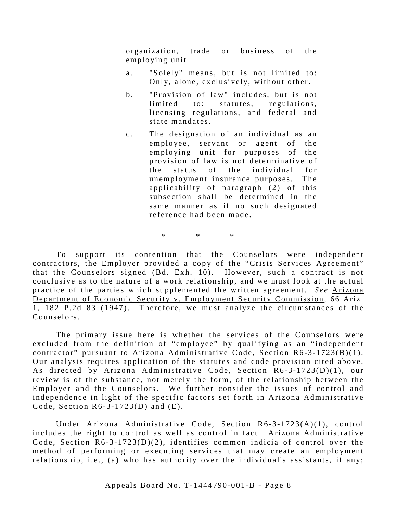organization, trade or business of the employing unit.

- a. "Solely" means, but is not limited to: Only, alone, exclusively, without other.
- b. "Provision of law" includes, but is not limited to: statutes, regulations, licensing regulations, and federal and state mandates.
- c. The designation of an individual as an employee, servant or agent of the employing unit for purposes of the provision of law is not determinative of the status of the individual for unemployment insurance purposes. The applicability of paragraph (2) of this subsection shall be determined in the same manner as if no such designated reference had been made.

\* \* \*

To support its contention that the Counselors were independent contractors, the Employer provided a copy of the "Crisis Services Agreement" that the Counselors signed  $(Bd. \text{Exh. } 10)$ . However, such a contract is not conclusive as to the nature of a work relationship, and we must look at the actual practice of the parties which supplemented the written agreement. *See* Arizona Department of Economic Security v. Employment Security Commission, 66 Ariz. 1, 182 P.2d 83 (1947). Therefore, we must analyze the circumstances of the Counselors.

The primary issue here is whether the services of the Counselors were excluded from the definition of "employee" by qualifying as an "independent contractor" pursuant to Arizona Administrative Code, Section R6-3-1723(B)(1). Our analysis requires application of the statutes and code provision cited above. As directed by Arizona Administrative Code, Section R6-3-1723(D)(1), our review is of the substance, not merely the form, of the relationship between the Employer and the Counselors. We further consider the issues of control and independence in light of the specific factors set forth in Arizona Administrative Code, Section  $R6-3-1723(D)$  and  $(E)$ .

Under Arizona Administrative Code, Section R6-3-1723(A)(1), control includes the right to control as well as control in fact. Arizona Administrative Code, Section  $R6-3-1723(D)(2)$ , identifies common indicia of control over the method of performing or executing services that may create an employment relationship, i.e., (a) who has authority over the individual's assistants, if any;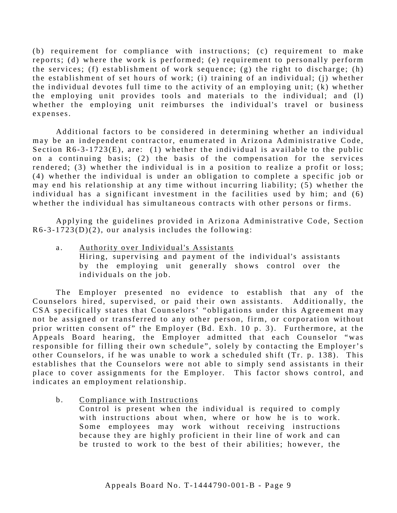(b) requirement for compliance with instructions; (c) requirement to make reports; (d) where the work is performed; (e) requirement to personally perform the services; (f) establishment of work sequence; (g) the right to discharge; (h) the establishment of set hours of work; (i) training of an individual; (j) whether the individual devotes full time to the activity of an employing unit; (k) whether the employing unit provides tools and materials to the individual; and (l) whether the employing unit reimburses the individual's travel or business expenses.

Additional factors to be considered in determining whether an individual may be an independent contractor, enumerated in Arizona Administrative Code, Section  $R6 - 3 - 1723(E)$ , are: (1) whether the individual is available to the public on a continuing basis; (2) the basis of the compensation for the services rendered; (3) whether the individual is in a position to realize a profit or loss; (4) whether the individual is under an obligation to complete a specific job or may end his relationship at any time without incurring liability; (5) whether the individual has a significant investment in the facilities used by him; and (6) whether the individual has simultaneous contracts with other persons or firms.

Applying the guidelines provided in Arizona Administrative Code, Section  $R6-3-1723(D)(2)$ , our analysis includes the following:

a. Authority over Individual's Assistants Hiring, supervising and payment of the individual's assistants by the employing unit generally shows control over the individuals on the job.

The Employer presented no evidence to establish that any of the Counselors hired, supervised, or paid their own assistants. Additionally, the CSA specifically states that Counselors' "obligations under this Agreement may not be assigned or transferred to any other person, firm, or corporation without prior written consent of" the Employer (Bd. Exh. 10 p. 3). Furthermore, at the Appeals Board hearing, the Employer admitted that each Counselor "was responsible for filling their own schedule", solely by contacting the Employer's other Counselors, if he was unable to work a scheduled shift (Tr. p. 138). This establishes that the Counselors were not able to simply send assistants in their place to cover assignments for the Employer. This factor shows control, and indicates an employment relationship.

b. Compliance with Instructions

Control is present when the individual is required to comply with instructions about when, where or how he is to work. Some employees may work without receiving instructions because they are highly proficient in their line of work and can be trusted to work to the best of their abilities; however, the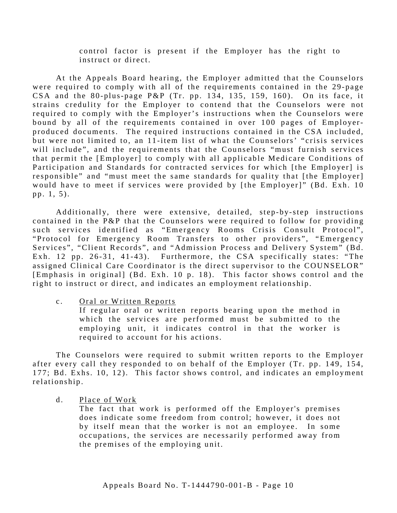control factor is present if the Employer has the right to instruct or direct.

At the Appeals Board hearing, the Employer admitted that the Counselors were required to comply with all of the requirements contained in the 29-page CSA and the 80-plus-page P&P (Tr. pp. 134, 135, 159, 160). On its face, it strains credulity for the Employer to contend that the Counselors were not required to comply with the Employer's instructions when the Counselors were bound by all of the requirements contained in over 100 pages of Employerproduced documents. The required instructions contained in the CSA included, but were not limited to, an 11-item list of what the Counselors' "crisis services" will include", and the requirements that the Counselors "must furnish services that permit the [Employer] to comply with all applicable Medicare Conditions of Participation and Standards for contracted services for which [the Employer] is responsible" and "must meet the same standards for quality that [the Employer] would have to meet if services were provided by [the Employer]" (Bd. Exh. 10 pp. 1, 5).

Additionally, there were extensive, detailed, step-by-step instructions contained in the P&P that the Counselors were required to follow for providing such services identified as "Emergency Rooms Crisis Consult Protocol", "Protocol for Emergency Room Transfers to other providers", "Emergency Services", "Client Records", and "Admission Process and Delivery System" (Bd. Exh. 12 pp. 26-31, 41-43). Furthermore, the CSA specifically states: "The assigned Clinical Care Coordinator is the direct supervisor to the COUNSELOR" [Emphasis in original] (Bd. Exh. 10 p. 18). This factor shows control and the right to instruct or direct, and indicates an employment relationship.

c. Oral or Written Reports

If regular oral or written reports bearing upon the method in which the services are performed must be submitted to the employing unit, it indicates control in that the worker is required to account for his actions.

The Counselors were required to submit written reports to the Employer after every call they responded to on behalf of the Employer (Tr. pp. 149, 154, 177; Bd. Exhs. 10, 12). This factor shows control, and indicates an employment relationship.

d. Place of Work

The fact that work is performed off the Employer's premises does indicate some freedom from control; however, it does not by itself mean that the worker is not an employee. In some occupations, the services are necessarily performed away from the premises of the employing unit.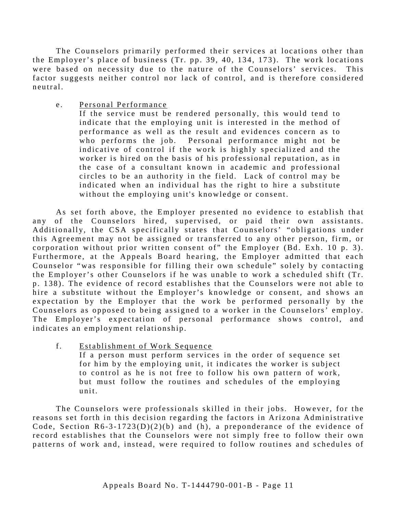The Counselors primarily performed their services at locations other than the Employer's place of business (Tr. pp. 39, 40, 134, 173 ). The work locations were based on necessity due to the nature of the Counselors' services. This factor suggests neither control nor lack of control, and is therefore considered neutral.

e. Personal Performance

If the service must be rendered personally, this would tend to indicate that the employing unit is interested in the method of performance as well as the result and evidences concern as to who performs the job. Personal performance might not be indicative of control if the work is highly specialized and the worker is hired on the basis of his professional reputation, as in the case of a consultant known in academic and professional circles to be an authority in the field. Lack of control may be indicated when an individual has the right to hire a substitute without the employing unit's knowledge or consent.

As set forth above, the Employer presented no evidence to establish that any of the Counselors hired, supervised, or paid their own assistants. Additionally, the CSA specifically states that Counselors' "obligations under this Agreement may not be assigned or transferred to any other person, firm, or corporation without prior written consent of" the Employer (Bd. Exh. 10 p. 3). Furthermore, at the Appeals Board hearing, the Employer admitted that each Counselor "was responsible for filling their own schedule" solely by contacting the Employer's other Counselors if he was unable to work a scheduled shift (Tr. p. 138). The evidence of record establishes that the Counselors were not able to hire a substitute without the Employer's knowledge or consent, and shows an expectation by the Employer that the work be performed personally by the Counselors as opposed to being assigned to a worker in the Counselors' employ. The Employer's expectation of personal performance shows control, and indicates an employment relationship.

f. Establishment of Work Sequence If a person must perform services in the order of sequence set for him by the employing unit, it indicates the worker is subject to control as he is not free to follow his own pattern of work, but must follow the routines and schedules of the employing unit.

The Counselors were professionals skilled in their jobs. However, for the reasons set forth in this decision regarding the factors in Arizona Administrative Code, Section  $R6 - 3 - 1723(D)(2)(b)$  and (h), a preponderance of the evidence of record establishes that the Counselors were not simply free to follow their own patterns of work and, instead, were required to follow routines and schedules of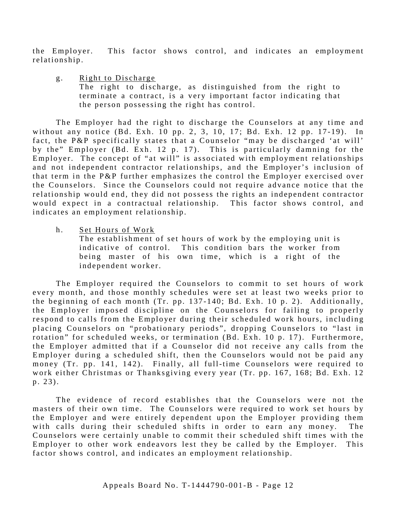the Employer. This factor shows control, and indicates an employment relationship.

g. Right to Discharge The right to discharge, as distinguished from the right to terminate a contract, is a very important factor indicating that the person possessing the right has control.

The Employer had the right to discharge the Counselors at any time and without any notice (Bd. Exh. 10 pp. 2, 3, 10, 17; Bd. Exh. 12 pp. 17-19). In fact, the P&P specifically states that a Counselor "may be discharged 'at will' by the" Employer (Bd. Exh. 12 p. 17). This is particularly damning for the Employer. The concept of "at will" is associated with employment relationships and not independent contractor relationships, and the Employer's inclusion of that term in the P&P further emphasizes the control the Employer exercised over the Counselors. Since the Counselors could not require advance notice that the relationship would end, they did not possess the rights an independent contractor would expect in a contractual relationship. This factor shows control, and indicates an employment relationship.

h. Set Hours of Work

The establishment of set hours of work by the employing unit is indicative of control. This condition bars the worker from being master of his own time, which is a right of the independent worker.

The Employer required the Counselors to commit to set hours of work every month, and those monthly schedules were set at least two weeks prior to the beginning of each month (Tr. pp. 137-140; Bd. Exh. 10 p. 2). Additionally, the Employer imposed discipline on the Counselors for failing to properly respond to calls from the Employer during their scheduled work hours, including placing Counselors on "probationary periods", dropping Counselors to "last in rotation" for scheduled weeks, or termination (Bd. Exh. 10 p. 17). Furthermore, the Employer admitted that if a Counselor did not receive any calls from the Employer during a scheduled shift, then the Counselors would not be paid any money (Tr. pp. 141, 142). Finally, all full-time Counselors were required to work either Christmas or Thanksgiving every year (Tr. pp. 167, 168; Bd. Exh. 12 p. 23) .

The evidence of record establishes that the Counselors were not the masters of their own time. The Counselors were required to work set hours by the Employer and were entirely dependent upon the Employer providing them with calls during their scheduled shifts in order to earn any money. The Counselors were certainly unable to commit their scheduled shift times with the Employer to other work endeavors lest they be called by the Employer. This factor shows control, and indicates an employment relationship.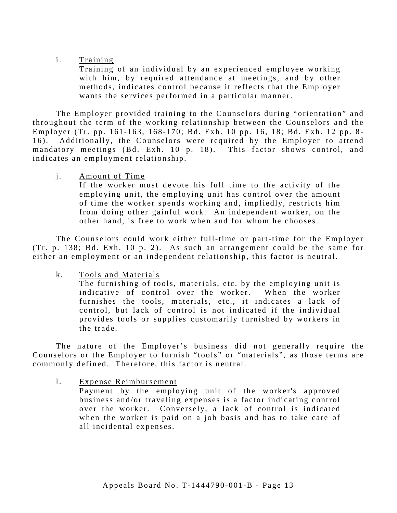### i. Training

Training of an individual by an experienced employee working with him, by required attendance at meetings, and by other methods, indicates control because it reflects that the Employer wants the services performed in a particular manner.

The Employer provided training to the Counselors during "orientation" and throughout the term of the working relationship between the Counselors and the Employer (Tr. pp. 161-163, 168-170; Bd. Exh. 10 pp. 16, 18; Bd. Exh. 12 pp. 8-16). Additionally, the Counselors were required by the Employer to attend mandatory meetings (Bd. Exh. 10 p. 18). This factor shows control, and indicates an employment relationship.

# i. Amount of Time

If the worker must devote his full time to the activity of the employing unit, the employing unit has control over the amount of time the worker spends working and, impliedly, restricts him from doing other gainful work. An independent worker, on the other hand, is free to work when and for whom he chooses.

The Counselors could work either full-time or part-time for the Employer (Tr. p. 138; Bd. Exh. 10 p. 2). As such an arrangement could be the same for either an employment or an independent relationship, this factor is neutral.

k. Tools and Materials

The furnishing of tools, materials, etc. by the employing unit is indicative of control over the worker. When the worker furnishes the tools, materials, etc., it indicates a lack of control, but lack of control is not indicated if the individual provides tools or supplies customarily furnished by workers in the trade.

The nature of the Employer's business did not generally require the Counselors or the Employer to furnish "tools" or "materials", as those terms are commonly defined. Therefore, this factor is neutral.

1. Expense Reimbursement

Payment by the employing unit of the worker's approved business and/or traveling expenses is a factor indicating control over the worker. Conversely, a lack of control is indicated when the worker is paid on a job basis and has to take care of all incidental expenses.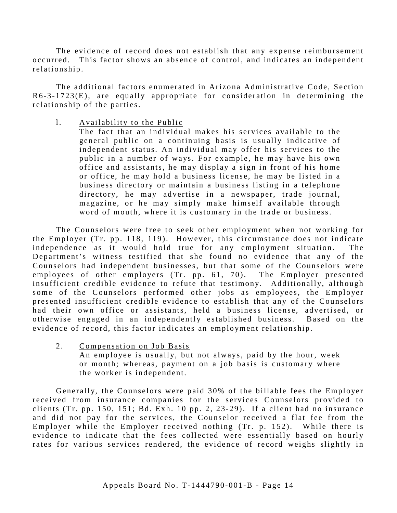The evidence of record does not establish that any expense reimbursement occurred. This factor shows an absence of control, and indicates an independent relationship.

The additional factors enumerated in Arizona Administrative Code, Section  $R6-3-1723(E)$ , are equally appropriate for consideration in determining the relationship of the parties.

1. Availability to the Public

The fact that an individual makes his services available to the general public on a continuing basis is usually indicative of independent status. An individual may offer his services to the public in a number of ways. For example, he may have his own office and assistants, he may display a sign in front of his home or office, he may hold a business license, he may be listed in a business directory or maintain a business listing in a telephone directory, he may advertise in a newspaper, trade journal, magazine, or he may simply make himself available through word of mouth, where it is customary in the trade or business.

The Counselors were free to seek other employment when not working for the Employer (Tr. pp. 118, 119). However, this circumstance does not indicate independence as it would hold true for any employment situation. The Department's witness testified that she found no evidence that any of the Counselors had independent businesses, but that some of the Counselors were employees of other employers  $(Tr. pp. 61, 70)$ . The Employer presented insufficient credible evidence to refute that testimony. Additionally, although some of the Counselors performed other jobs as employees, the Employer presented insufficient credible evidence to establish that any of the Counselors had their own office or assistants, held a business license, advertised, or otherwise engaged in an independently established business. Based on the evidence of record, this factor indicates an employment relationship.

2. Compensation on Job Basis An employee is usually, but not always, paid by the hour, week or month; whereas, payment on a job basis is customary where the worker is independent.

Generally, the Counselors were paid 30% of the billable fees the Employer received from insurance companies for the services Counselors provided to clients (Tr. pp. 150, 151; Bd. Exh. 10 pp. 2, 23-29). If a client had no insurance and did not pay for the services, the Counselor received a flat fee from the Employer while the Employer received nothing (Tr. p. 152). While there is evidence to indicate that the fees collected were essentially based on hourly rates for various services rendered, the evidence of record weighs slightly in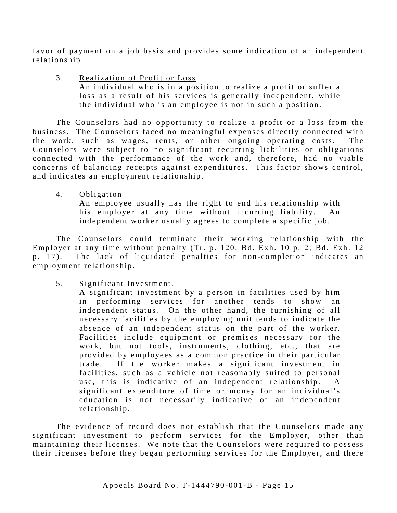favor of payment on a job basis and provides some indication of an independent rel ationship.

3. Realization of Profit or Loss An individual who is in a position to realize a profit or suffer a loss as a result of his services is generally independent, while the individual who is an employee is not in such a position.

The Counselors had no opportunity to realize a profit or a loss from the business. The Counselors faced no meaningful expenses directly connected with the work, such as wages, rents, or other ongoing operating costs. The Counselors were subject to no significant recurring liabilities or obligations connected with the performance of the work and, therefore, had no viable concerns of balancing receipts against expenditures. This factor shows control, and indicates an employment relationship.

4. Obligation

An employee usually has the right to end his relationship with his employer at any time without incurring liability. An independent worker usually agrees to complete a specific job.

The Counselors could terminate their working relationship with the Employer at any time without penalty (Tr. p. 120; Bd. Exh. 10 p. 2; Bd. Exh. 12 p. 17). The lack of liquidated penalties for non-completion indicates an employment relationship.

5 . Significant Investment.

A significant investment by a person in facilities used by him in performing services for another tends to show an independent status. On the other hand, the furnishing of all necessary facilities by the employing unit tends to indicate the absence of an independent status on the part of the worker. Facilities include equipment or premises necessary for the work, but not tools, instruments, clothing, etc., that are provided by employees as a common practice in their particular trade. If the worker makes a significant investment in facilities, such as a vehicle not reasonably suited to personal use, this is indicative of an independent relationship. A significant expenditure of time or money for an individual's education is not necessarily indicative of an independent relationship.

The evidence of record does not establish that the Counselors made any significant investment to perform services for the Employer, other than maintaining their licenses. We note that the Counselors were required to possess their licenses before they began performing services for the Employer, and there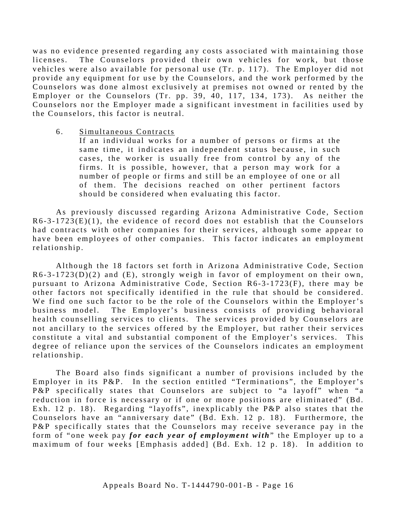was no evidence presented regarding any costs associated with maintaining those licenses. The Counselors provided their own vehicles for work, but those vehicles were also available for personal use (Tr. p. 117). The Employer did not provide any equipment for use by the Counselors, and the work performed by the Counselors was done almost exclusively at premises not owned or rented by the Employer or the Counselors (Tr. pp. 39, 40, 117, 134, 173). As neither the Counselors nor the Employer made a significant investment in facilities used by the Counselors, this factor is neutral.

6. Simultaneous Contracts

If an individual works for a number of persons or firms at the same time, it indicates an independent status because, in such cases, the worker is usually free from control by any of the firms. It is possible, however, that a person may work for a number of people or firms and still be an employee of one or all of them. The decisions reached on other pertinent factors should be considered when evaluating this factor.

As previously discussed regarding Arizona Administrative Code, Section  $R6-3-1723(E)(1)$ , the evidence of record does not establish that the Counselors had contracts with other companies for their services, although some appear to have been employees of other companies. This factor indicates an employment relationship.

Although the 18 factors set forth in Arizona Administrative Code, Section  $R6-3-1723(D)(2)$  and  $(E)$ , strongly weigh in favor of employment on their own, pursuant to Arizona Administrative Code, Section  $R6-3-1723(F)$ , there may be other factors not specifically identified in the rule that should be considered. We find one such factor to be the role of the Counselors within the Employer's business model. The Employer's business consists of providing behavioral health counselling services to clients. The services provided by Counselors are not ancillary to the services offered by the Employer, but rather their services constitute a vital and substantial component of the Employer's services. This degree of reliance upon the services of the Counselors indicates an employment relationship.

The Board also finds significant a number of provisions included by the Employer in its P&P. In the section entitled "Terminations", the Employer's P&P specifically states that Counselors are subject to "a layoff" when "a reduction in force is necessary or if one or more positions are eliminated" (Bd. Exh. 12 p. 18). Regarding "layoffs", inexplicably the P&P also states that the Counselors have an "anniversary date" (Bd. Exh. 12 p. 18). Furthermore, the P&P specifically states that the Counselors may receive severance pay in the form of "one week pay *for each year of employment with*" the Employer up to a maximum of four weeks [Emphasis added] (Bd. Exh. 12 p. 18). In addition to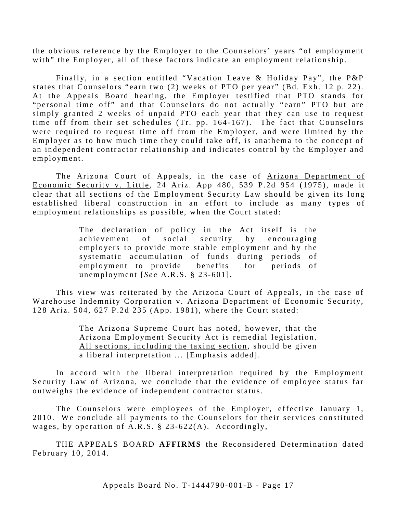the obvious reference by the Employer to the Counselors' years "of employment with" the Employer, all of these factors indicate an employment relationship.

Finally, in a section entitled "Vacation Leave & Holiday Pay", the P&P states that Counselors "earn two (2) weeks of PTO per year" (Bd. Exh. 12 p. 22). At the Appeals Board hearing, the Employer testified that PTO stands for "personal time off" and that Counselors do not actually "earn" PTO but are simply granted 2 weeks of unpaid PTO each year that they can use to request time off from their set schedules (Tr. pp. 164-167). The fact that Counselors were required to request time off from the Employer, and were limited by the Employer as to how much time they could take off, is anathema to the concept of an independent contractor relationship and indicates control by the Employer and employment.

The Arizona Court of Appeals, in the case of Arizona Department of Economic Security v. Little, 24 Ariz. App 480, 539 P.2d 954 (1975), made it clear that all sections of the Employment Security Law should be given its long established liberal construction in an effort to include as many types of employment relationships as possible, when the Court stated:

> The declaration of policy in the Act itself is the achievement of social security by encouraging employers to provide more stable employment and by the systematic accumulation of funds during periods of employment to provide benefits for periods of unemployment [ *See* A.R.S. § 23- 601].

This view was reiterated by the Arizona Court of Appeals, in the case of Warehouse Indemnity Corporation v. Arizona Department of Economic Security, 128 Ariz. 504, 627 P.2d 235 (App. 1981), where the Court stated:

> The Arizona Supreme Court has noted, however, that the Arizona Employment Security Act is remedial legislation. All sections, including the taxing section, should be given a liberal interpretation ... [Emphasis added].

In accord with the liberal interpretation required by the Employment Security Law of Arizona, we conclude that the evidence of employee status far outweighs the evidence of independent contractor status.

The Counselors were employees of the Employer, effective January 1, 2010. We conclude all payments to the Counselors for their services constituted wages, by operation of A.R.S. § 23 -622(A). Accordingly,

THE APPEALS BOARD **AFFIRMS** the Reconsidered Determination dated February 10, 2014.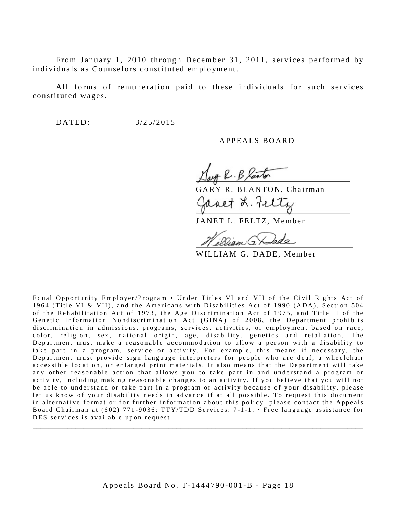From January 1, 2010 through December 31, 2011, services performed by individuals as Counselors constituted employment.

All forms of remuneration paid to these individuals for such services constituted wages.

DATED: 3/25/2015

APPEALS BOARD

uff R. B Xanton

GARY R. BLANTON, Chairman avet L. Felt

JANET L. FELTZ, Member

Dan G.

WILLIAM G. DADE, Member

Equal Opportunity Employer/Program • Under Titles VI and VII of the Civil Rights Act of 1964 (Title VI & VII), and the Americans with Disabilities Act of 1990 (ADA), Sec tion 504 of the Rehabilitation Act of 1973, the Age Discrimination Act of 1975, and Title II of the Genetic Information Nondiscrimination Act (GINA) of 2008, the Department prohibits discrimination in admissions, programs, services, activities, or employment based on race, color, religion, sex, national origin, age, disability, genetics and retaliation. The Department must make a reasonable accommodation to allow a person with a disability to take part in a program, service or activity. For example, this me ans if necessary, the Department must provide sign language interpreters for people who are deaf, a wheelchair accessible location, or enlarged print materials. It also means that the Department will take any other reasonable action that allows you to take part in and understand a program or activity, including making reasonable changes to an activity. If you believe that you will not be able to understand or take part in a program or activity because of your disability, please let us know of your disability needs in advance if at all possible. To request this document in alternative format or for further information about this policy, please contact the Appeals Board Chairman at (602) 771-9036; TTY/TDD Services: 7-1-1. • Free language assistance for DES services is available upon request.

\_\_\_\_\_\_\_\_\_\_\_\_\_\_\_\_\_\_\_\_\_\_\_\_\_\_\_\_\_\_\_\_\_\_\_\_\_\_\_\_\_\_\_\_\_\_\_\_\_\_\_\_\_\_\_\_\_\_\_\_\_\_\_\_\_\_\_\_\_\_\_\_\_\_\_\_\_\_\_\_\_\_\_\_\_

\_\_\_\_\_\_\_\_\_\_\_\_\_\_\_\_\_\_\_\_\_\_\_\_\_\_\_\_\_\_\_\_\_\_\_\_\_\_\_\_\_\_\_\_\_\_\_\_\_\_\_\_\_\_\_\_\_\_\_\_\_\_\_\_\_\_\_\_\_\_\_\_\_\_\_\_\_\_\_\_\_\_\_\_\_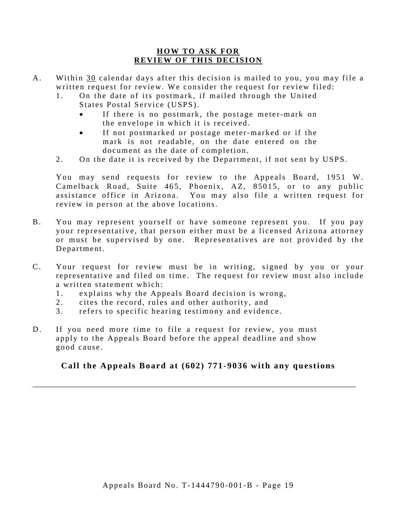### **HOW TO ASK FOR REVIEW OF THIS DECISION**

- A. Within 30 calendar days after this decision is mailed to you, you may file a written request for review. We consider the request for review filed:
	- 1. On the date of its postmark, if mailed through the United States Postal Service (USPS).
		- If there is no postmark, the postage meter-mark on the envelope in which it is received.
		- If not postmarked or postage meter-marked or if the mark is not readable, on the date entered on the document as the date of completion.
	- 2. On the date it is received by the Department, if not sent by USPS.

You may send requests for review to the Appeals Board, 1951 W. Camelback Road, Suite 465, Phoenix, AZ, 85015, or to any public assistance office in Arizona. You may also file a written request for review in person at the above locations.

- B. You may represent yourself or have someone represent you. If you pay your representative, that person either must be a licensed Arizona attorney or must be supervised by one. Representatives are not provided by the Department.
- C. Your request for review must be in writing, signed by you or your representative and filed on time. The request for review must also include a written statement which:
	- 1. explains why the Appeals Board decision is wrong,
	- 2. cites the record, rules and other authority, and
	- 3. refers to specific hearing testimony and evidence.
- D. If you need more time to file a request for review, you must apply to the Appeals Board before the appeal deadline and show good cause.

# **Call the Appeals Board at (602) 771-9036 with any questions**

\_\_\_\_\_\_\_\_\_\_\_\_\_\_\_\_\_\_\_\_\_\_\_\_\_\_\_\_\_\_\_\_\_\_\_\_\_\_\_\_\_\_\_\_\_\_\_\_\_\_\_\_\_\_\_\_\_\_\_\_\_\_\_\_\_\_\_\_\_\_\_\_\_\_\_\_\_\_\_\_\_\_\_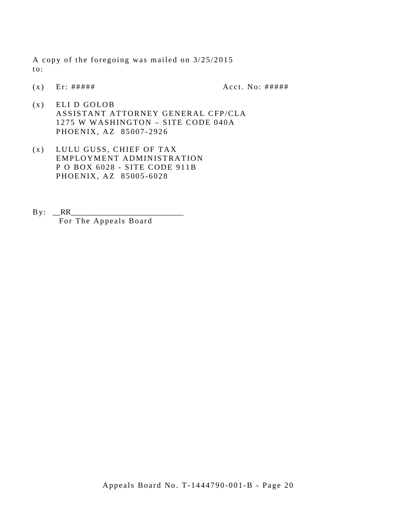A copy of the foregoing was mailed on 3/25/2015 to:

 $(x)$  Er: #####  $A$   $Cct. No: #####$ 

- (x) ELI D GOLOB ASSISTANT ATTORNEY GENERAL CFP/CLA 1275 W WASHINGTON – SITE CODE 040A PHOENIX, AZ 85007 -2926
- (x) LULU GUSS, CHIEF OF TAX EMPLOYMENT ADMINISTRATION P O BOX 6028 - SITE CODE 911B PHOENIX, AZ 85005 -6028
- By: \_\_RR\_\_\_\_\_\_\_\_\_\_\_\_\_\_\_\_\_\_\_\_\_\_\_\_\_\_\_\_\_ For The Appeals Board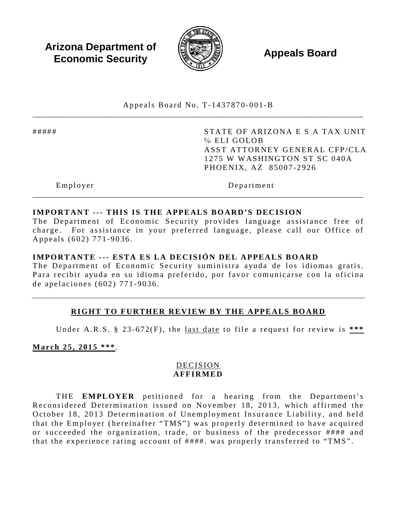**Arizona Department of Economic Security Appeals Board**<br> **Economic Security** 



Appeals Board No. T- 1437870 -001 -B \_\_\_\_\_\_\_\_\_\_\_\_\_\_\_\_\_\_\_\_\_\_\_\_\_\_\_\_\_\_\_\_\_\_\_\_\_\_\_\_\_\_\_\_\_\_\_\_\_\_\_\_\_\_\_\_\_\_\_\_\_\_\_\_\_\_\_\_\_\_\_\_\_\_\_\_\_\_\_\_\_\_\_\_\_

##### STATE OF ARIZONA E S A TAX UNIT ℅ ELI GOLOB ASST ATTORNEY GENERAL CFP/CLA 1275 W WASHINGTON ST SC 040A PHOENIX, AZ 85007 -2926

Employer Department

# **IMPORTANT --- THIS IS THE APPEALS BOARD'S DECISION**

The Department of Economic Security provides language assistance free of charge. For assistance in your preferred language, please call our Office of Appeals (602) 771 -9036 .

\_\_\_\_\_\_\_\_\_\_\_\_\_\_\_\_\_\_\_\_\_\_\_\_\_\_\_\_\_\_\_\_\_\_\_\_\_\_\_\_\_\_\_\_\_\_\_\_\_\_\_\_\_\_\_\_\_\_\_\_\_\_\_\_\_\_\_\_\_\_\_\_\_\_\_\_\_\_\_\_\_\_\_\_\_

### **IMPORTANTE --- ESTA ES LA DECISIÓN DEL APPEALS BOARD**

The Department of Economic Security suministra ayuda de los idiomas gratis. Para recibir ayuda en su idioma preferido, por favor comunicarse con la oficina de apelaciones (602) 771 - 9036 .

# **RIGHT TO FURTHER REVIEW BY THE APPEALS BOARD**

Under A.R.S. § 23 -672(F), the last date to file a request for review is **\*\*\*** 

**March 25, 2015 \*\*\*** .

# DECISION **AFFIRMED**

THE **EMPLOYER** petitioned for a hearing from the Department's Reconsidered Determination issued on November 18, 2013, which affirmed the October 18, 2013 Determination of Unemployment Insurance Liability, and held that the Employer (hereinafter "TMS") was properly determined to have acquired or succeeded the organization, trade, or business of the predecessor #### and that the experience rating account of ####. was properly transferred to "TMS".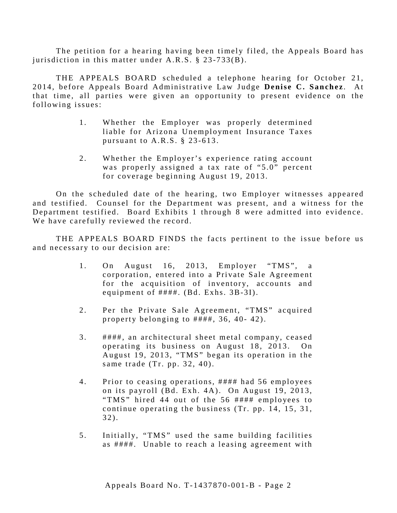The petition for a hearing having been timely filed, the Appeals Board has jurisdiction in this matter under A.R.S. § 23-733(B).

THE APPEALS BOARD scheduled a telephone hearing for October 21, 2014, before Appeals Board Administrative Law Judge **Denise C. Sanchez** . At that time, all parties were given an opportunity to present evidence on the following issues:

- 1. Whether the Employer was properly determined liable for Arizona Unemployment Insurance Taxes pursuant to  $A.R.S. \$ § 23-613.
- 2. Whether the Employer's experience rating account was properly assigned a tax rate of "5.0" percent for coverage beginning August 19, 2013.

On the scheduled date of the hearing, two Employer witnesses appeared and testified. Counsel for the Department was present, and a witness for the Department testified. Board Exhibits 1 through 8 were admitted into evidence. We have carefully reviewed the record.

THE APPEALS BOARD FINDS the facts pertinent to the issue before us and necessary to our decision are:

- 1 . On August 16, 2013, Employer "TMS", a corporation, entered into a Private Sale Agreement for the acquisition of inventory, accounts and equipment of  $\# \# \#$ . (Bd. Exhs. 3B-3I).
- 2. Per the Private Sale Agreement, "TMS" acquired property belonging to  $\# \# \# \#$ , 36, 40-42).
- 3. ####, an architectural sheet metal company, ceased operating its business on August 18, 2013. On August 19, 2013, "TMS" began its operation in the same trade (Tr. pp. 32, 40) .
- 4. Prior to ceasing operations, #### had 56 employees on its payroll (Bd. Exh. 4A). On August 19, 2013, "TMS" hired 44 out of the 56 #### employees to continue operating the business (Tr. pp. 14, 15, 31, 32).
- 5. Initially, "TMS" used the same building facilities as ####. Unable to reach a leasing agreement with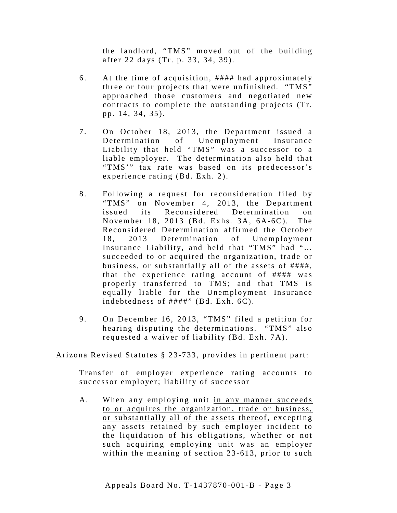the landlord, "TMS" moved out of the building after 22 days (Tr. p. 33, 34, 39).

- 6 . At the time of acquisition, #### had approximately three or four projects that were unfinished. "TMS" approached those customers and negotiated new contracts to complete the outstanding projects (Tr. pp. 14, 34, 35).
- 7. On October 18, 2013, the Department issued a Determination of Unemployment Insurance Liability that held "TMS" was a successor to a liable employer. The determination also held that "TMS"" tax rate was based on its predecessor's experience rating (Bd. Exh. 2).
- 8. Following a request for reconsideration filed by "TMS" on November 4, 2013, the Department issued its Reconsidered Determination on November 18, 2013 (Bd. Exhs. 3A, 6A-6C). The Reconsidered Determination affirmed the October 18, 2013 Determination of Unemployment Insurance Liability, and held that "TMS" had "… succeeded to or acquired the organization, trade or business, or substantially all of the assets of ####, that the experience rating account of #### was properly transferred to TMS; and that TMS is equally liable for the Unemployment Insurance indebtedness of  $\# \# \# \#$ " (Bd. Exh. 6C).
- 9. On December 16, 2013, "TMS" filed a petition for hearing disputing the determinations. "TMS" also requested a waiver of liability (Bd. Exh. 7A).

Arizona Revised Statutes § 23 -733, provides in pertinent part:

Transfer of employer experience rating accounts to successor employer; liability of successor

A. When any employing unit in any manner succeeds to or acquires the organization, trade or business, or substantially all of the assets thereof, excepting any assets retained by such employer incident to the liquidation of his obligations, whether or not such acquiring employing unit was an employer within the meaning of section 23-613, prior to such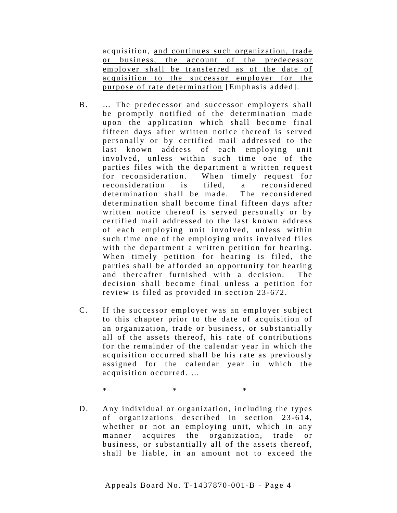acquisition, and continues such organization, trade or business, the account of the predecessor employer shall be transferred as of the date of acquisition to the successor employer for the purpose of rate determination [Emphasis added].

- B. … The predecessor and successor employers shall be promptly notified of the determination made upon the application which shall become final fifteen days after written notice thereof is served personally or by certified mail addressed to the last known address of each employing unit involved, unless within such time one of the parties files with the department a written request for reconsideration. When timely request for reconsideration is filed, a reconsidered determination shall be made. The reconsidered determination shall become final fifteen days after written notice thereof is served personally or by certified mail addressed to the last known address of each employing unit involved, unless within such time one of the employing units involved files with the department a written petition for hearing. When timely petition for hearing is filed, the parties shall be afforded an opportunity for hearing and thereafter furnished with a decision. The decision shall become final unless a petition for review is filed as provided in section 23-672.
- C. If the successor employer was an employer subject to this chapter prior to the date of acquisition of an organization, trade or business, or substantially all of the assets thereof, his rate of contributions for the remainder of the calendar year in which the acquisition occurred shall be his rate as previously assigned for the calendar year in which the acquisition occurred. …

 $*$   $*$   $*$ 

D. Any individual or organization, including the types of organizations described in section 23-614, whether or not an employing unit, which in any manner acquires the organization, trade or business, or substantially all of the assets thereof, shall be liable, in an amount not to exceed the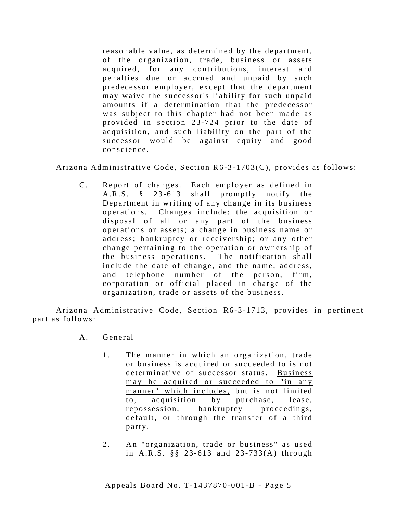reasonable value, as determined by the department, of the organization, trade, business or assets acquired, for any contributions, interest and penalties due or accrued and unpaid by such predecessor employer, except that the department may waive the successor's liability for such unpaid amounts if a determination that the predecessor was subject to this chapter had not been made as provided in section 23-724 prior to the date of acquisition, and such liability on the part of the successor would be against equity and good conscience.

Arizona Administrative Code, Section R6-3-1703(C), provides as follows:

C. Report of changes. Each employer as defined in A.R.S. § 23-613 shall promptly notify the Department in writing of any change in its business operations. Changes include: the acquisition or disposal of all or any part of the business operations or assets; a change in business name or address; bankruptcy or receivership; or any other change pertaining to the operation or ownership of the business operations. The notification shall include the date of change, and the name, address, and telephone number of the person, firm, corporation or official placed in charge of the organization, trade or assets of the business.

Arizona Administrative Code, Section R6-3-1713, provides in pertinent part as follows:

- A . General
	- 1. The manner in which an organization, trade or business is acquired or succeeded to is not determinative of successor status. Business may be acquired or succeeded to "in any manner" which includes, but is not limited to, acquisition by purchase, lease, repossession, bankruptcy proceedings, default, or through the transfer of a third party.
	- 2. An "organization, trade or business" as used in A.R.S. §§ 23-613 and 23-733(A) through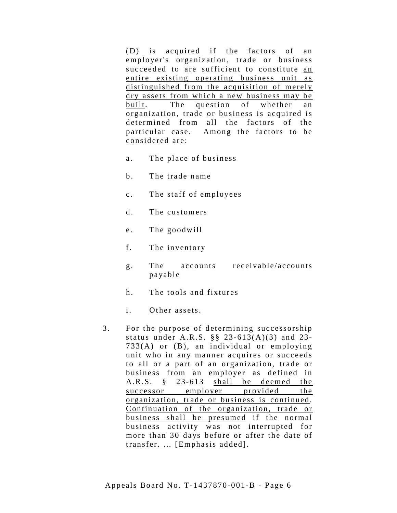(D) is acquired if the factors of an employer's organization, trade or business succeeded to are sufficient to constitute an entire existing operating business unit as distinguished from the acquisition of merely dry assets from which a new business may be built. The question of whether an organization, trade or business is acquired is determined from all the factors of the particular case. Among the factors to be considered are:

- a. The place of business
- b. The trade name
- c. The staff of employees
- d. The customers
- e. The goodwill
- f. The inventory
- g. The accounts receivable/accounts payable
- h. The tools and fixtures
- i. Other assets.
- 3. For the purpose of determining successorship status under A.R.S.  $\S$   $\S$  23-613(A)(3) and 23-733(A) or (B), an individual or employing unit who in any manner acquires or succeeds to all or a part of an organization, trade or business from an employer as defined in A.R.S. § 23-613 shall be deemed the successor employer provided the organization, trade or business is continued. Continuation of the organization, trade or business shall be presumed if the normal business activity was not interrupted for more than 30 days before or after the date of transfer. … [Emphasis added].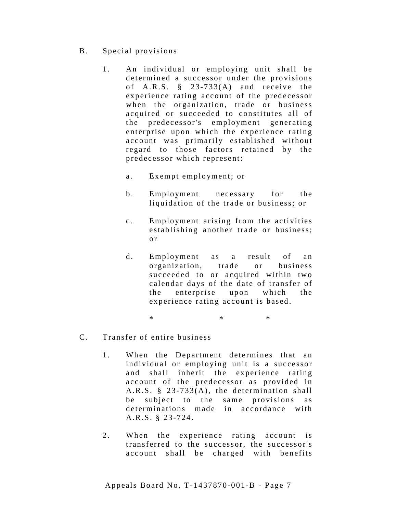- B. Special provisions
	- 1. An individual or employing unit shall be determined a successor under the provisions of A.R.S. § 23-733(A) and receive the experience rating account of the predecessor when the organization, trade or business acquired or succeeded to constitutes all of the predecessor's employment generating enterprise upon which the experience rating account was primarily established without regard to those factors retained by the predecessor which represent:
		- a. Exempt employment; or
		- b. Employment necessary for the liquidation of the trade or business; or
		- c. Employment arising from the activities establishing another trade or business; o r
		- d. Employment as a result of an organization, trade or business succeeded to or acquired within two calendar days of the date of transfer of the enterprise upon which the experience rating account is based.
			- $*$  \*  $*$  \*  $*$
- C. Transfer of entire business
	- 1. When the Department determines that an individual or employing unit is a successor and shall inherit the experience rating account of the predecessor as provided in A.R.S.  $\S$  23-733(A), the determination shall be subject to the same provisions as determinations made in accordance with A.R.S. § 23 -724.
	- 2. When the experience rating account is transferred to the successor, the successor's account shall be charged with benefits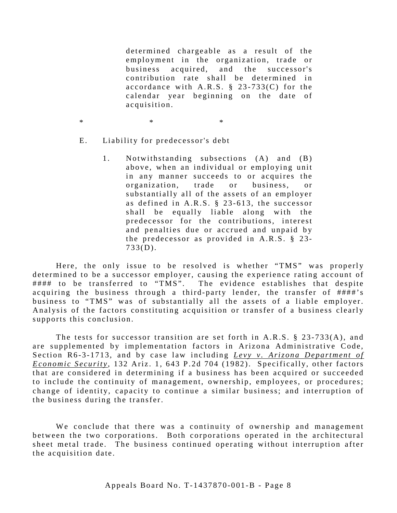determined chargeable as a result of the employment in the organization, trade or business acquired, and the successor's contribution rate shall be determined in accordance with  $A.R.S. \S 23-733(C)$  for the calendar year beginning on the date of acquisition.

 $*$   $*$   $*$ 

- E. Liability for predecessor's debt
	- 1. Notwithstanding subsections (A) and (B) above, when an individual or employing unit in any manner succeeds to or acquires the organization, trade or business, or substantially all of the assets of an employer as defined in A.R.S. § 23 - 613, the successor shall be equally liable along with the predecessor for the contributions, interest and penalties due or accrued and unpaid by the predecessor as provided in  $A.R.S. \$ § 23-733(D).

Here, the only issue to be resolved is whether "TMS" was properly determined to be a successor employer, causing the experience rating account of #### to be transferred to "TMS". The evidence establishes that despite acquiring the business through a third-party lender, the transfer of ####'s business to "TMS" was of substantially all the assets of a liable employer. Analysis of the factors constituting acquisition or transfer of a business clearly supports this conclusion.

The tests for successor transition are set forth in A.R.S.  $\S$  23-733(A), and are supplemented by implementation factors in Arizona Administrative Code, Section R6-3-1713, and by case law including *Levy v. Arizona Department of Economic Security*, 132 Ariz. 1, 643 P.2d 704 (1982). Specifically, other factors that are considered in determining if a business has been acquired or succeeded to include the continuity of management, ownership, employees, or procedures; change of identity, capacity to continue a similar business; and interruption of the business during the transfer.

We conclude that there was a continuity of ownership and management between the two corporations. Both corporations operated in the architectural sheet metal trade. The business continued operating without interruption after the acquisition date.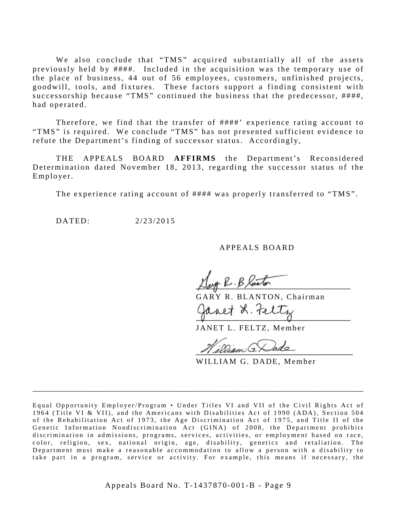We also conclude that "TMS" acquired substantially all of the assets previously held by ####. Included in the acquisition was the temporary use of the place of business, 44 out of 56 employees, customers, unfinished projects, goodwill, tools, and fixtures. These factors support a finding consistent with successorship because "TMS" continued the business that the predecessor, ####, had operated.

Therefore, we find that the transfer of ####' experience rating account to "TMS" is required. We conclude "TMS" has not presented sufficient evidence to refute the Department's finding of successor status. Accordingly,

THE APPEALS BOARD **AFFIRMS** the Department's Reconsidered Determination dated November 18, 2013, regarding the successor status of the Employer.

The experience rating account of #### was properly transferred to "TMS".

DATED: 2/23/2015

### APPEALS BOARD

Day R. B laster

GARY R. BLANTON, Chairman anet L. Feltz

JANET L. FELTZ, Member

Dam G.

WILLIAM G. DADE, Member

\_\_\_\_\_\_\_\_\_\_\_\_\_\_\_\_\_\_\_\_\_\_\_\_\_\_\_\_\_\_\_\_\_\_\_\_\_\_\_\_\_\_\_\_\_\_\_\_\_\_\_\_\_\_\_\_\_\_\_\_\_\_\_\_\_\_\_\_\_\_\_\_\_\_\_\_\_\_\_\_\_\_\_\_\_

Equal Opportunity Employer/Program • Under Titles VI and VII of the Civil Rights Act of 1964 (Title VI & VII), and the Americans with Disabilities Act of 1990 (ADA), Section 504 of the Rehabilitation Act of 1973, the Age Discrimination Act of 1975, and Title II of the Genetic Information Nondiscrimination Act (GINA) of 2008, the Department prohibits discrimination in admissions, programs, services, a ctivities, or employment based on race, color, religion, sex, national origin, age, disability, genetics and retaliation. The Department must make a reasonable accommodation to allow a person with a disability to take part in a program, service or activity . For example, this means if necessary, the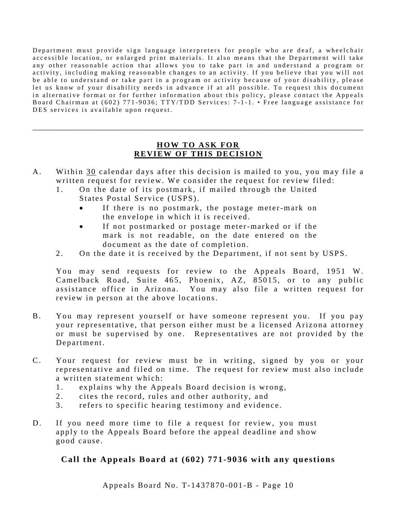Department must provide sign language interpreters for people who are deaf, a wheelchair accessible location, or enlarged print materials. It also means that the Department will take any other reasonable action that allows you to take part in and understand a program or activity, including making reasonable changes to an activity. If you believe that you will not be able to understand or take part in a program or activity because of your disability, please let us know of your disability needs in advance if at all possible. To request this document in alternative format or for further information about this policy, please contact the Appeals Board Chairman at (602) 771-9036; TTY/TDD Services: 7-1-1. • Free language assistance for DES services is available upon request.

### **HOW TO ASK FOR REVIEW OF THIS DECISION**

\_\_\_\_\_\_\_\_\_\_\_\_\_\_\_\_\_\_\_\_\_\_\_\_\_\_\_\_\_\_\_\_\_\_\_\_\_\_\_\_\_\_\_\_\_\_\_\_\_\_\_\_\_\_\_\_\_\_\_\_\_\_\_\_\_\_\_\_\_\_\_\_\_\_\_\_\_\_\_\_\_\_\_\_\_

- A. Within 30 calendar days after this decision is mailed to you, you may file a written request for review. We consider the request for review filed:
	- 1. On the date of its postmark, if mailed through the United States Postal Service (USPS).
		- If there is no postmark, the postage meter-mark on the envelope in which it is received.
		- If not postmarked or postage meter-marked or if the mark is not readable, on the date entered on the document as the date of completion.
	- 2. On the date it is received by the Department, if not sent by USPS.

You may send requests for review to the Appeals Board, 1951 W. Camelback Road, Suite 465, Phoenix, AZ, 85015, or to any public assistance office in Arizona. You may also file a written request for review in person at the above locations.

- B. You may represent yourself or have someone represent you. If you pay your representative, that person either must be a licensed Arizona attorney or must be supervised by one. Representatives are not provided by the Department.
- C. Your request for review must be in writing, signed by you or your representative and filed on time. The request for review must also include a written statement which:
	- 1. explains why the Appeals Board decision is wrong,
	- 2. cites the record, rules and other authority, and
	- 3. refers to specific hearing testimony and evidence.
- D. If you need more time to file a request for review, you must apply to the Appeals Board before the appeal deadline and show good cause.

# **Call the Appeals Board at (602) 771-9036 with any questions**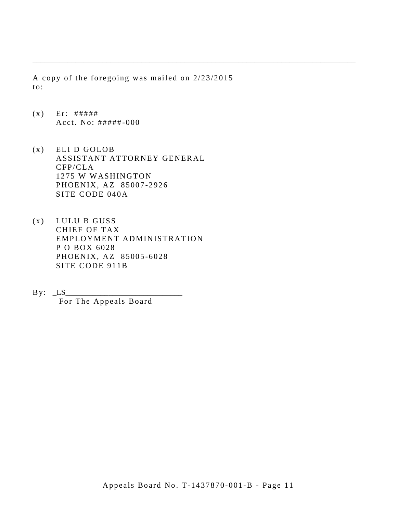A copy of the foregoing was mailed on 2/23/2015 to:

\_\_\_\_\_\_\_\_\_\_\_\_\_\_\_\_\_\_\_\_\_\_\_\_\_\_\_\_\_\_\_\_\_\_\_\_\_\_\_\_\_\_\_\_\_\_\_\_\_\_\_\_\_\_\_\_\_\_\_\_\_\_\_\_\_\_\_\_\_\_\_\_\_\_\_\_\_\_\_\_\_\_\_

- $(x)$  Er: ##### Acct. No: ##### - 000
- (x) ELI D GOLOB ASSISTANT ATTORNEY GENERAL CFP/CLA 1275 W WASHINGTON PHOENIX, AZ 85007 -2926 SITE CODE 040A
- (x) LULU B GUSS CHIEF OF TAX EMPLOYMENT ADMINISTRATION P O BOX 6028 PHOENIX, AZ 85005 -6028 SITE CODE 911B
- $\text{By:}\quad \text{LS}$ For The Appeals Board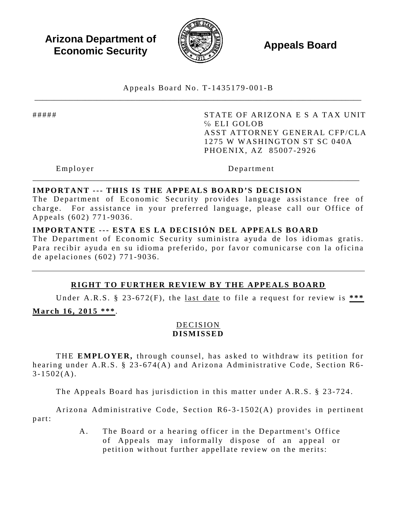**Arizona Department of Economic Security Appeals Board**<br> **Economic Security** 



Appeals Board No. T- 1435179 -001 -B \_\_\_\_\_\_\_\_\_\_\_\_\_\_\_\_\_\_\_\_\_\_\_\_\_\_\_\_\_\_\_\_\_\_\_\_\_\_\_\_\_\_\_\_\_\_\_\_\_\_\_\_\_\_\_\_\_\_\_\_\_\_\_\_\_\_\_\_\_\_\_\_\_\_\_\_\_\_\_\_\_\_\_\_

##### STATE OF ARIZONA E S A TAX UNIT ℅ ELI GOLOB ASST ATTORNEY GENERAL CFP/CLA 1275 W WASHINGTON ST SC 040A PHOENIX, AZ 85007 -2926

Employer Department

### **IMPORTANT --- THIS IS THE APPEALS BOARD'S DECISION**

The Department of Economic Security provides language assistance free of charge. For assistance in your preferred language, please call our Office of Appeals (602) 771 -9036 .

\_\_\_\_\_\_\_\_\_\_\_\_\_\_\_\_\_\_\_\_\_\_\_\_\_\_\_\_\_\_\_\_\_\_\_\_\_\_\_\_\_\_\_\_\_\_\_\_\_\_\_\_\_\_\_\_\_\_\_\_\_\_\_\_\_\_\_\_\_\_\_\_\_\_\_\_\_\_\_\_\_\_\_\_

### **IMPORTANTE --- ESTA ES LA DECISIÓN DEL APPEALS BOARD**

The Department of Economic Security suministra ayuda de los idiomas gratis. Para recibir ayuda en su idioma preferido, por favor comunicarse con la oficina de apelaciones (602) 771 - 9036 .

# **RIGHT TO FURTHER REVIEW BY THE APPEALS BOARD**

Under A.R.S. § 23 -672(F), the last date to file a request for review is **\*\*\* March 16, 2015 \*\*\*** .

### DECISION **DISMISSED**

THE **EMPLOYER,** through counsel, has asked to withdraw its petition for hearing under A.R.S. § 23-674(A) and Arizona Administrative Code, Section R6- $3 - 1502(A)$ .

The Appeals Board has jurisdiction in this matter under A.R.S. § 23 -724.

Arizona Administrative Code, Section R6-3-1502(A) provides in pertinent part:

> A. The Board or a hearing officer in the Department's Office of Appeals may informally dispose of an appeal or petition without further appellate review on the merits: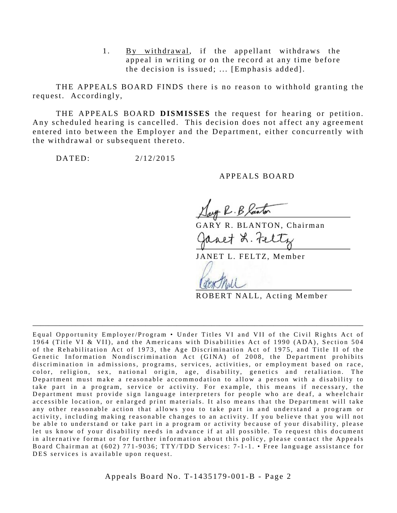1. By withdrawal, if the appellant withdraws the appeal in writing or on the record at any time before the decision is issued; ... [ Emphasis added].

THE APPEALS BOARD FINDS there is no reason to withhold granting the request. Accordingly,

THE APPEALS BOARD **DISMISSES** the request for hearing or petition. Any scheduled hearing is cancelled. This decision does not affect any agreement entered into between the Employer and the Department, either concurrently with the withdrawal or subsequent thereto.

DATED: 2/12/2015

### APPEALS BOARD

art R. B laster

GARY R. BLANTON, Chairman

Janet L. Feltz

JANET L. FELTZ, Member

ROBERT NALL, Acting Member

Equal Opportunity Employer/Program • Under Titles VI and VII of the Civil Rights Act of 1964 (Title VI & VII), and the Americans with Disabilities Act of 1990 (ADA), Section 504 of the Rehabilitation Act of 1973, the Age Discrimination Act of 1975, and Title II of the Genetic Information Nondiscrimination Act (GINA) of 2008, the Department prohibits discrimination in admissions, programs, services, activities, or employment based on race, color, religion, sex, national origin, age, disability, genetics and retaliation. The Department must make a reasonable accommodation to allow a person with a disability to take part in a program, service or activity. For example, this means if necessary, the Department must provide sign language interpreters for people who are deaf, a wheelchair accessible location, or enlarged print materials. It also means that the Department will take any other reasonable action that allows you to take part in and understand a program or activity, including making reasonable changes to an activity. If you believe that you will not be able to understand or take part in a program or activity because of your disability, please let us know of your disability needs in advance if at all possible. To request this document in alternative format or for further information about this policy, please contact the Appeals Board Chairman at (602) 771-9036; TTY/TDD Services: 7-1-1. • Free language assistance for DES services is available upon request.

\_\_\_\_\_\_\_\_\_\_\_\_\_\_\_\_\_\_\_\_\_\_\_\_\_\_\_\_\_\_\_\_\_\_\_\_\_\_\_\_\_\_\_\_\_\_\_\_\_\_\_\_\_\_\_\_\_\_\_\_\_\_\_\_\_\_\_\_\_\_\_\_\_\_\_\_\_\_\_\_\_\_\_\_\_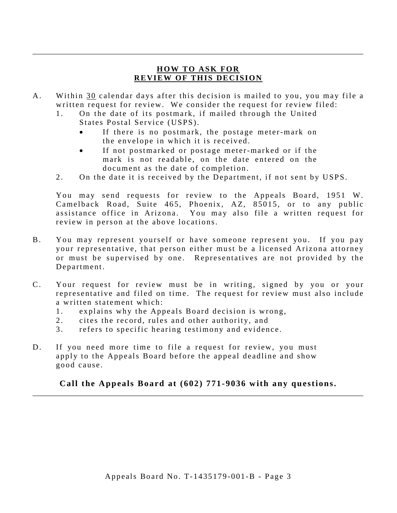# **HOW TO ASK FOR REVIEW OF THIS DECISION**

\_\_\_\_\_\_\_\_\_\_\_\_\_\_\_\_\_\_\_\_\_\_\_\_\_\_\_\_\_\_\_\_\_\_\_\_\_\_\_\_\_\_\_\_\_\_\_\_\_\_\_\_\_\_\_\_\_\_\_\_\_\_\_\_\_\_\_\_\_\_\_\_\_\_\_\_\_\_\_\_\_\_\_\_\_

- A. Within 30 calendar days after this decision is mailed to you, you may file a written request for review. We consider the request for review filed:
	- 1. On the date of its postmark, if mailed through the United States Postal Service (USPS).
		- If there is no postmark, the postage meter-mark on the envelope in which it is received.
		- If not postmarked or postage meter-marked or if the mark is not readable, on the date entered on the document as the date of completion.
	- 2. On the date it is received by the Department, if not sent by USPS.

You may send requests for review to the Appeals Board, 1951 W. Camelback Road, Suite 465, Phoenix, AZ, 85015, or to any public assistance office in Arizona. You may also file a written request for review in person at the above locations.

- B. You may represent yourself or have someone represent you. If you pay your representative, that person either must be a licensed Arizona attorney or must be supervised by one. Representatives are not provided by the Department.
- C. Your request for review must be in writing, signed by you or your representative and filed on time. The request for review must also include a written statement which:
	- 1. explains why the Appeals Board decision is wrong,
	- 2. cites the record, rules and other authority, and
	- 3. refers to specific hearing testimony and evidence.
- D. If you need more time to file a request for review, you must apply to the Appeals Board before the appeal deadline and show good cause.

**Call the Appeals Board at (602) 771-9036 with any questions.** \_\_\_\_\_\_\_\_\_\_\_\_\_\_\_\_\_\_\_\_\_\_\_\_\_\_\_\_\_\_\_\_\_\_\_\_\_\_\_\_\_\_\_\_\_\_\_\_\_\_\_\_\_\_\_\_\_\_\_\_\_\_\_\_\_\_\_\_\_\_\_\_\_\_\_\_\_\_\_\_\_\_\_\_\_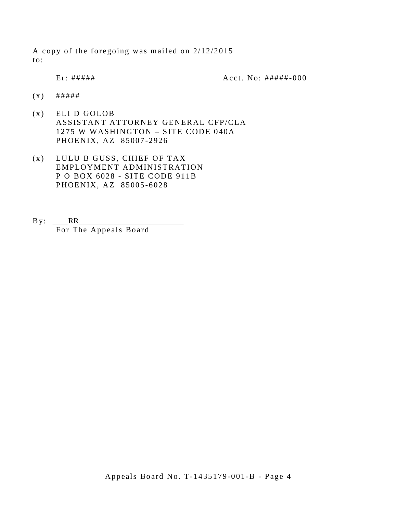A copy of the foregoing was mailed on 2/12/2015 to:

Er: ##### Acct. No: ##### - 000

- $(x)$  ######
- (x) ELI D GOLOB ASSISTANT ATTORNEY GENERAL CFP/CLA 1275 W WASHINGTON – SITE CODE 040A PHOENIX, AZ 85007 -2926
- (x) LULU B GUSS, CHIEF OF TAX EMPLOYMENT ADMINISTRATION P O BOX 6028 - SITE CODE 911B PHOENIX, AZ 85005 -6028
- $By: \_RR$ For The Appeals Board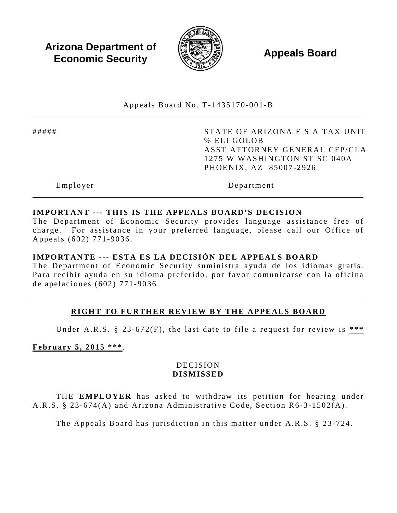**Arizona Department of Economic Security Appeals Board**<br> **Economic Security** 



Appeals Board No. T- 1435170 -001 -B \_\_\_\_\_\_\_\_\_\_\_\_\_\_\_\_\_\_\_\_\_\_\_\_\_\_\_\_\_\_\_\_\_\_\_\_\_\_\_\_\_\_\_\_\_\_\_\_\_\_\_\_\_\_\_\_\_\_\_\_\_\_\_\_\_\_\_\_\_\_\_\_\_\_\_\_\_\_\_\_\_\_\_\_\_

##### STATE OF ARIZONA E S A TAX UNIT ℅ ELI GOLOB ASST ATTORNEY GENERAL CFP/CLA 1275 W WASHINGTON ST SC 040A PHOENIX, AZ 85007 -2926

Employer Department

# **IMPORTANT --- THIS IS THE APPEALS BOARD'S DECISION**

The Department of Economic Security provides language assistance free of charge. For assistance in your preferred language, please call our Office of Appeals (602) 771 -9036 .

\_\_\_\_\_\_\_\_\_\_\_\_\_\_\_\_\_\_\_\_\_\_\_\_\_\_\_\_\_\_\_\_\_\_\_\_\_\_\_\_\_\_\_\_\_\_\_\_\_\_\_\_\_\_\_\_\_\_\_\_\_\_\_\_\_\_\_\_\_\_\_\_\_\_\_\_\_\_\_\_\_\_\_\_\_

### **IMPORTANTE --- ESTA ES LA DECISIÓN DEL APPEALS BOARD**

The Department of Economic Security suministra ayuda de los idiomas gratis. Para recibir ayuda en su idioma preferido, por favor comunicarse con la oficina de apelaciones (602) 771 - 9036 .

# **RIGHT TO FURTHER REVIEW BY THE APPEALS BOARD**

Under A.R.S. § 23 -672(F), the last date to file a request for review is **\*\*\*** 

**February 5, 2015 \*\*\***.

# DECISION **DISMISSED**

THE **EMPLOYER** has asked to withdraw its petition for hearing under A.R.S. § 23-674(A) and Arizona Administrative Code, Section R6-3-1502(A).

The Appeals Board has jurisdiction in this matter under A.R.S. § 23-724.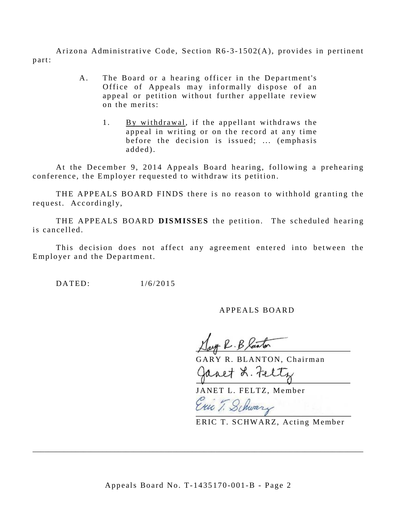Arizona Administrative Code, Section R6 -3 - 1502(A), provides in pertinent part:

- A. The Board or a hearing officer in the Department's Office of Appeals may informally dispose of an appeal or petition without further appellate review on the merits:
	- 1. By withdrawal, if the appellant withdraws the appeal in writing or on the record at any time before the decision is issued; ... (emphasis added).

At the December 9, 2014 Appeals Board hearing, following a prehearing conference, the Employer requested to withdraw its petition.

THE APPEALS BOARD FINDS there is no reason to withhold granting the request. Accordingly,

THE APPEALS BOARD **DISMISSES** the petition. The scheduled hearing is cancelled.

This decision does not affect any agreement entered into between the Employer and the Department.

DATED: 1/6/2015

### APPEALS BOARD

GARY R. BLANTON, Chairman

Ganet L. tel

JANET L. FELTZ, Member Exic T. Schwary

ERIC T. SCHWARZ, Acting Member

\_\_\_\_\_\_\_\_\_\_\_\_\_\_\_\_\_\_\_\_\_\_\_\_\_\_\_\_\_\_\_\_\_\_\_\_\_\_\_\_\_\_\_\_\_\_\_\_\_\_\_\_\_\_\_\_\_\_\_\_\_\_\_\_\_\_\_\_\_\_\_\_\_\_\_\_\_\_\_\_\_\_\_\_\_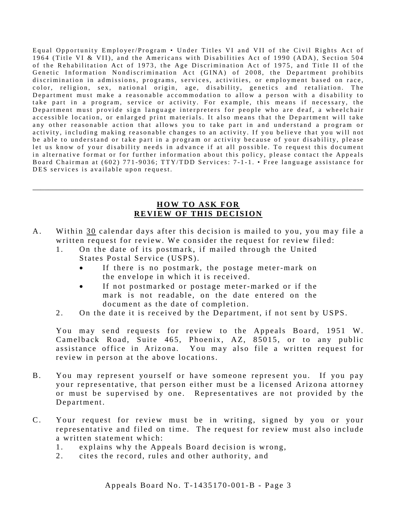Equal Opportunity Employer/Program • Under Titles VI and VII of the Civil Rights Act of 1964 (Title VI & VII), and the Americans with Disabilities Act of 1990 (ADA), Section 504 of the Rehabilitation Act of 1973, the Age Discrimination Act of 1975, and Title II of the Genetic Information Nondiscrimination Act (GINA) of 2008, the Department prohibits discrimination in admissions, programs, services, activities, or employment based on race, color, religion, sex, national origin, age, disability, genetics and retaliation. The Department must make a reasonable accommodation to allow a person with a disability to take part in a program, service or activity. For example, this means if necessary, the Department must provide sign language interpreters for people who are deaf, a wheelchair accessible location, or enlarged print materials. It also means that the Department will take any other reasonable action that allows you to take part in and understand a program or activity, including making reasonable changes to an activity. If you believe that you will not be able to understand or take part in a program or activity because of your disability, please let us know of your disability needs in advance if at all possible. To request this document in alternative format or for further information about this policy, please contact the Appeals Board Chairman at (602) 771-9036; TTY/TDD Services: 7-1-1. • Free language assistance for DES services is available upon request.

### **HOW TO ASK FOR REVIEW OF THIS DECISION**

\_\_\_\_\_\_\_\_\_\_\_\_\_\_\_\_\_\_\_\_\_\_\_\_\_\_\_\_\_\_\_\_\_\_\_\_\_\_\_\_\_\_\_\_\_\_\_\_\_\_\_\_\_\_\_\_\_\_\_\_\_\_\_\_\_\_\_\_\_\_\_\_\_\_\_\_\_\_\_\_\_\_\_\_\_

- A. Within 30 calendar days after this decision is mailed to you, you may file a written request for review. We consider the request for review filed:
	- 1. On the date of its postmark, if mailed through the United States Postal Service (USPS).
		- If there is no postmark, the postage meter-mark on the envelope in which it is received.
		- If not postmarked or postage meter-marked or if the mark is not readable, on the date entered on the document as the date of completion.
	- 2. On the date it is received by the Department, if not sent by USPS.

You may send requests for review to the Appeals Board, 1951 W. Camelback Road, Suite 465, Phoenix, AZ, 85015, or to any public assistance office in Arizona. You may also file a written request for review in person at the above locations.

- B. You may represent yourself or have someone represent you. If you pay your representative, that person either must be a licensed Arizona attorney or must be supervised by one. Representatives are not provided by the Department.
- C. Your request for review must be in writing, signed by you or your representative and filed on time. The request for review must also include a written statement which:
	- 1. explains why the Appeals Board decision is wrong,
	- 2. cites the record, rules and other authority, and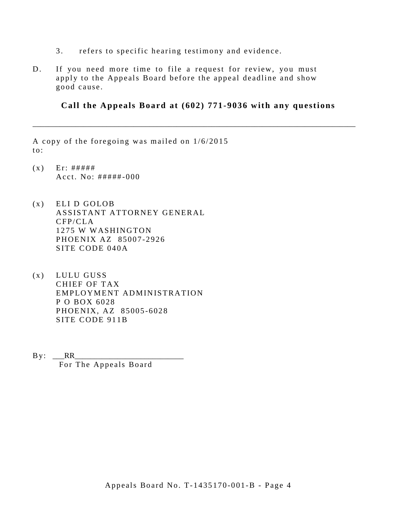- 3. refers to specific hearing testimony and evidence.
- D. If you need more time to file a request for review, you must apply to the Appeals Board before the appeal deadline and show good cause.

**Call the Appeals Board at (602) 771-9036 with any questions**

\_\_\_\_\_\_\_\_\_\_\_\_\_\_\_\_\_\_\_\_\_\_\_\_\_\_\_\_\_\_\_\_\_\_\_\_\_\_\_\_\_\_\_\_\_\_\_\_\_\_\_\_\_\_\_\_\_\_\_\_\_\_\_\_\_\_\_\_\_\_\_\_\_\_\_\_\_\_\_\_\_\_\_

A copy of the foregoing was mailed on 1/6/2015 to:

- $(x)$  Er: ##### Acct. No:  $\# \# \# \# \# \text{-}000$
- (x) ELI D GOLOB ASSISTANT ATTORNEY GENERAL CFP/CLA 1275 W WASHINGTON PHOENIX AZ 85007 -2926 SITE CODE 040A
- (x) LULU GUSS CHIEF OF TAX EMPLOYMENT ADMINISTRATION P O BOX 6028 PHOENIX, AZ 85005 -6028 SITE CODE 911B
- $By:$  RR

For The Appeals Board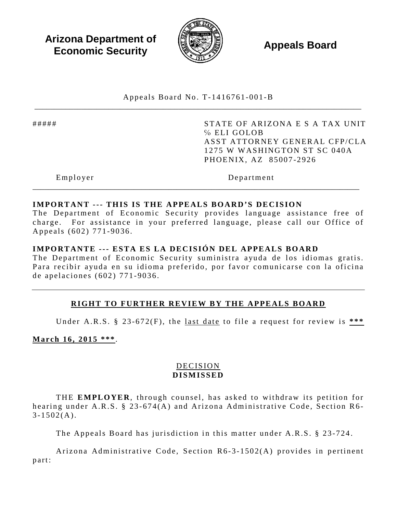**Arizona Department of Economic Security Appeals Board**<br> **Economic Security** 



Appeals Board No. T- 1416761 -001 -B \_\_\_\_\_\_\_\_\_\_\_\_\_\_\_\_\_\_\_\_\_\_\_\_\_\_\_\_\_\_\_\_\_\_\_\_\_\_\_\_\_\_\_\_\_\_\_\_\_\_\_\_\_\_\_\_\_\_\_\_\_\_\_\_\_\_\_\_\_\_\_\_\_\_\_\_\_\_\_\_\_\_\_\_

##### STATE OF ARIZONA E S A TAX UNIT ℅ ELI GOLOB ASST ATTORNEY GENERAL CFP/CLA 1275 W WASHINGTON ST SC 040A PHOENIX, AZ 85007 -2926

Employer Department

### **IMPORTANT --- THIS IS THE APPEALS BOARD'S DECISION**

The Department of Economic Security provides language assistance free of charge. For assistance in your preferred language, please call our Office of Appeals (602) 771 -9036 .

\_\_\_\_\_\_\_\_\_\_\_\_\_\_\_\_\_\_\_\_\_\_\_\_\_\_\_\_\_\_\_\_\_\_\_\_\_\_\_\_\_\_\_\_\_\_\_\_\_\_\_\_\_\_\_\_\_\_\_\_\_\_\_\_\_\_\_\_\_\_\_\_\_\_\_\_\_\_\_\_\_\_\_\_

# **IMPORTANTE --- ESTA ES LA DECISIÓN DEL APPEALS BOARD**

The Department of Economic Security suministra ayuda de los idiomas gratis. Para recibir ayuda en su idioma preferido, por favor comunicarse con la oficina de apelaciones (602) 771 - 9036 .

# **RIGHT TO FURTHER REVIEW BY THE APPEALS BOARD**

Under A.R.S. § 23-672(F), the <u>last date</u> to file a request for review is \*\*\*

**March 16, 2015 \*\*\*** .

# DECISION **DISMISSED**

THE **EMPLOYER**, through counsel, has asked to withdraw its petition for hearing under A.R.S.  $\S$  23-674(A) and Arizona Administrative Code, Section R6- $3 - 1502(A)$ .

The Appeals Board has jurisdiction in this matter under A.R.S. § 23 -724.

Arizona Administrative Code, Section R6-3-1502(A) provides in pertinent part: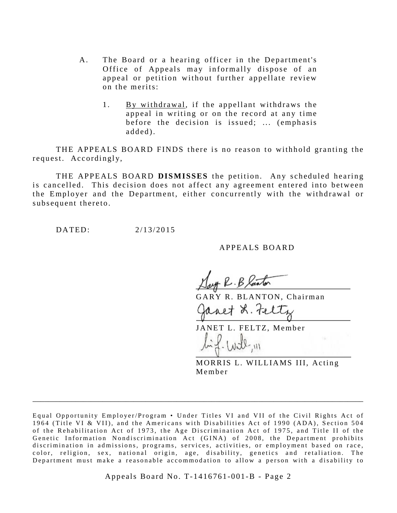- A. The Board or a hearing officer in the Department's Office of Appeals may informally dispose of an appeal or petition without further appellate review on the merits:
	- 1. By withdrawal, if the appellant withdraws the appeal in writing or on the record at any time before the decision is issued; ... (emphasis added).

THE APPEALS BOARD FINDS there is no reason to withhold granting the request. Accordingly,

THE APPEALS BOARD **DISMISSES** the petition. Any scheduled hearing is cancelled. This decision does not affect any agreement entered into between the Employer and the Department, either concurrently with the withdrawal or subsequent thereto.

DATED: 2/13/2015

APPEALS BOARD

Jast R. B laster

GARY R. BLANTON, Chairman

anet L. Feltz

JANET L. FELTZ, Member

MORRIS L. WILLIAMS III, Acting Member

\_\_\_\_\_\_\_\_\_\_\_\_\_\_\_\_\_\_\_\_\_\_\_\_\_\_\_\_\_\_\_\_\_\_\_\_\_\_\_\_\_\_\_\_\_\_\_\_\_\_\_\_\_\_\_\_\_\_\_\_\_\_\_\_\_\_\_\_\_\_\_\_\_\_\_\_\_\_\_\_\_\_\_\_\_

Appeals Board No. T- 1416761 -001 -B - Page 2

Equal Opportunity Employer/Program • Under Titles VI and VII of the Civil Rights Act of 1964 (Title VI & VII), and the Americans with Disabilities Act of 1990 (ADA), Section 504 of the Rehabilitation Act of 1973, the Age Discrimination Act of 1975, and Title II of the Genetic Information Nondiscrimination Act (GINA) of 2008, the Department prohibits discrimination in admissions, programs, services, activities, or employment based on race, color, religion, sex, national origin, age, disability, genetics and retaliation. The Department must make a reasonable accommodation to allow a person with a disability to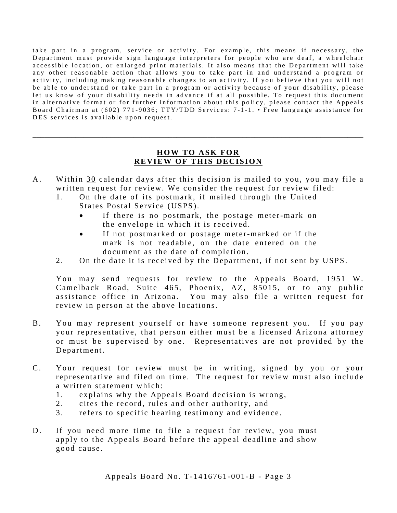take part in a program, service or activity. For example, this means if necessary, the Department must provide sign language interpreters for people who are deaf, a wheelchair accessible location, or enlarged print materials. It also means that the Department will take any other reasonable action that allows you to take part in and understand a program or activity, including making reasonable changes to an activity. If you believe that you will not be able to understand or take part in a program or activity because of your disability, please let us know of your disability needs in advance if at all possible. To request this document in alternative format or for further information about this policy, please contact the Appeals Board Chairman at (602) 771-9036; TTY/TDD Services: 7-1-1. • Free language assistance for DES services is available upon request.

# **HOW TO ASK FOR REVIEW OF THIS DECISION**

\_\_\_\_\_\_\_\_\_\_\_\_\_\_\_\_\_\_\_\_\_\_\_\_\_\_\_\_\_\_\_\_\_\_\_\_\_\_\_\_\_\_\_\_\_\_\_\_\_\_\_\_\_\_\_\_\_\_\_\_\_\_\_\_\_\_\_\_\_\_\_\_\_\_\_\_\_\_\_\_\_\_\_\_\_

- A. Within 30 calendar days after this decision is mailed to you, you may file a written request for review. We consider the request for review filed:
	- 1. On the date of its postmark, if mailed through the United States Postal Service (USPS).
		- If there is no postmark, the postage meter-mark on the envelope in which it is received.
		- If not postmarked or postage meter-marked or if the mark is not readable, on the date entered on the document as the date of completion.
	- 2. On the date it is received by the Department, if not sent by USPS.

You may send requests for review to the Appeals Board, 1951 W. Camelback Road, Suite 465, Phoenix, AZ, 85015, or to any public assistance office in Arizona. You may also file a written request for review in person at the above locations.

- B. You may represent yourself or have someone represent you. If you pay your representative, that person either must be a licensed Arizona attorney or must be supervised by one. Representatives are not provided by the Department.
- C. Your request for review must be in writing, signed by you or your representative and filed on time. The request for review must also include a written statement which:
	- 1. explains why the Appeals Board decision is wrong,
	- 2. cites the record, rules and other authority, and
	- 3. refers to specific hearing testimony and evidence.
- D. If you need more time to file a request for review, you must apply to the Appeals Board before the appeal deadline and show good cause.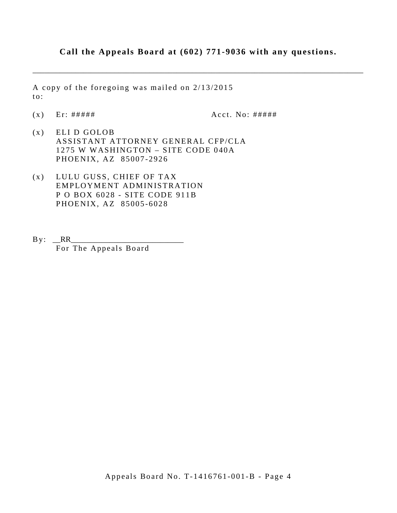# **Call the Appeals Board at (602) 771-9036 with any questions.**

\_\_\_\_\_\_\_\_\_\_\_\_\_\_\_\_\_\_\_\_\_\_\_\_\_\_\_\_\_\_\_\_\_\_\_\_\_\_\_\_\_\_\_\_\_\_\_\_\_\_\_\_\_\_\_\_\_\_\_\_\_\_\_\_\_\_\_\_\_\_\_\_\_\_\_\_\_\_\_\_\_\_\_\_\_

A copy of the foregoing was mailed on 2/13/2015 to:

 $(x)$  Er: #####  $A$  Acct. No: #####

- (x) ELI D GOLOB ASSISTANT ATTORNEY GENERAL CFP/CLA 1275 W WASHINGTON – SITE CODE 040A PHOENIX, AZ 85007 -2926
- (x) LULU GUSS, CHIEF OF TAX EMPLOYMENT ADMINISTRATION P O BOX 6028 - SITE CODE 911B PHOENIX, AZ 85005 -6028
- $By: **RR**$ For The Appeals Board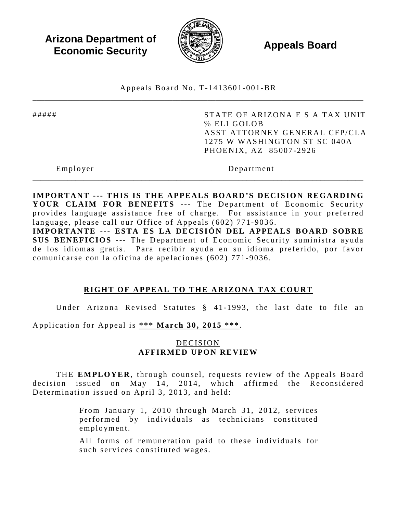**Arizona Department of Economic Security Appeals Board**<br> **Economic Security** 



Appeals Board No. T- 1413601 -001 -BR \_\_\_\_\_\_\_\_\_\_\_\_\_\_\_\_\_\_\_\_\_\_\_\_\_\_\_\_\_\_\_\_\_\_\_\_\_\_\_\_\_\_\_\_\_\_\_\_\_\_\_\_\_\_\_\_\_\_\_\_\_\_\_\_\_\_\_\_\_\_\_\_\_\_\_\_\_\_\_\_\_\_\_\_\_

##### STATE OF ARIZONA E S A TAX UNIT ℅ ELI GOLOB ASST ATTORNEY GENERAL CFP/CLA 1275 W WASHINGTON ST SC 040A PHOENIX, AZ 85007 -2926

Employer Department

**IMPORTANT --- THIS IS THE APPEALS BOARD'S DECISION REGARDING**  YOUR CLAIM FOR BENEFITS --- The Department of Economic Security provides language assistance free of charge. For assistance in your preferred language, please call our Office of Appeals (602) 771-9036. **IMPORTANTE --- ESTA ES LA DECISIÓN DEL APPEALS BOARD SOBRE SUS BENEFICIOS ---** The Department of Economic Security suministra ayuda de los idiomas gratis. Para recibir ayuda en su idioma preferido, por favor comunicarse con la oficina de apelaciones (602) 771 -9036 .

\_\_\_\_\_\_\_\_\_\_\_\_\_\_\_\_\_\_\_\_\_\_\_\_\_\_\_\_\_\_\_\_\_\_\_\_\_\_\_\_\_\_\_\_\_\_\_\_\_\_\_\_\_\_\_\_\_\_\_\_\_\_\_\_\_\_\_\_\_\_\_\_\_\_\_\_\_\_\_\_\_\_\_\_\_

# **RIGHT OF APPEAL TO THE ARIZONA TAX COURT**

Under Arizona Revised Statutes § 41- 1993, the last date to file an

Application for Appeal is **\*\*\* March 30, 2015 \*\*\***.

### DECISION **AFFIRMED UPON REVIEW**

THE **EMPLOYER**, through counsel, requests review of the Appeals Board decision issued on May 14, 2014, which affirmed the Reconsidered Determination issued on April 3, 2013, and held:

> From January 1, 2010 through March 31, 2012, services performed by individuals as technicians constituted employment.

> All forms of remuneration paid to these individuals for such services constituted wages.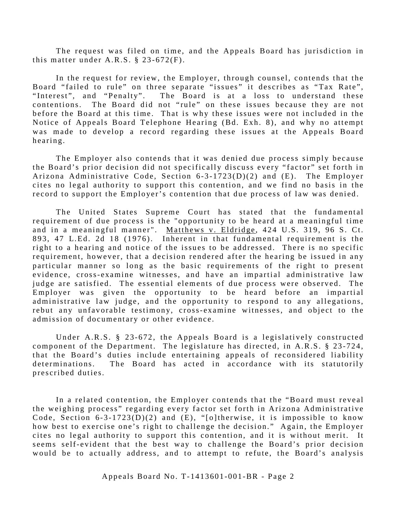The request was filed on time, and the Appeals Board has jurisdiction in this matter under  $A.R.S. \$ § 23-672 $(F)$ .

In the request for review, the Employer, through counsel, contends that the Board "failed to rule" on three separate "issues" it describes as "Tax Rate", "Interest", and "Penalty". The Board is at a loss to understand these contentions. The Board did not "rule" on these issues because they are not before the Board at this time. That is why these issues were not included in the Notice of Appeals Board Telephone Hearing (Bd. Exh. 8), and why no attempt was made to develop a record regarding these issues at the Appeals Board hearing.

The Employer also contends that it was denied due process simply because the Board's prior decision did not specifically discuss every "factor" set forth in Arizona Administrative Code, Section 6-3-1723(D)(2) and (E). The Employer cites no legal authority to support this contention, and we find no basis in the record to support the Employer's contention that due process of law was denied.

The United States Supreme Court has stated that the fundamental requirement of due process is the "opportunity to be heard at a meaningful time and in a meaningful manner". Matthews v. Eldridge, 424 U.S. 319, 96 S. Ct. 893, 47 L.Ed. 2d 18 (1976). Inherent in that fundamental requirement is the right to a hearing and notice of the issues to be addressed. There is no specific requirement, however, that a decision rendered after the hearing be issued in any particular manner so long as the basic requirements of the right to present evidence, cross-examine witnesses, and have an impartial administrative law judge are satisfied. The essential elements of due process were observed. The Employer was given the opportunity to be heard before an impartial administrative law judge, and the opportunity to respond to any allegations, rebut any unfavorable testimony, cross-examine witnesses, and object to the admission of documentary or other evidence.

Under A.R.S. § 23-672, the Appeals Board is a legislatively constructed component of the Department. The legislature has directed, in A.R.S. § 23-724, that the Board's duties include entertaining appeals of reconsidered liability determinations. The Board has acted in accordance with its statutorily prescribed duties.

In a related contention, the Employer contends that the "Board must reveal the weighing process" regarding every factor set forth in Arizona Administrative Code, Section  $6-3-1723(D)(2)$  and  $(E)$ , "[o]therwise, it is impossible to know how best to exercise one's right to challenge the decision." Again, the Employer cites no legal authority to support this contention, and it is without merit. It seems self-evident that the best way to challenge the Board's prior decision would be to actually address, and to attempt to refute, the Board's analysis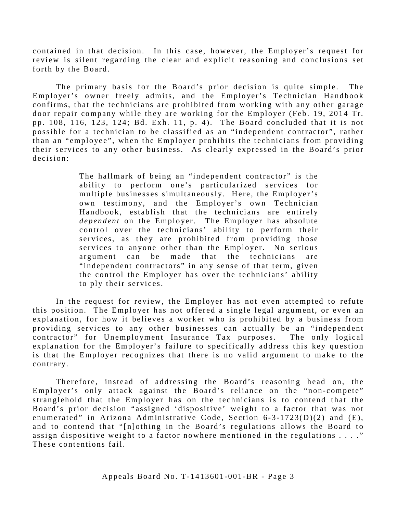contained in that decision. In this case, however, the Employer's request for review is silent regarding the clear and explicit reasoning and conclusions set forth by the Board.

The primary basis for the Board's prior decision is quite simple. The Employer's owner freely admits, and the Employer's Technician Handbook confirms, that the technicians are prohibited from working with any other garage door repair company while they are working for the Employer (Feb. 19, 2014 Tr. pp. 108, 116, 123, 124; Bd. Exh. 11, p. 4). The Board concluded that it is not possible for a technician to be classified as an "independent contractor", rather than an "employee", when the Employer prohibits the technicians from providing their services to any other business. As clearly expressed in the Board's prior decision:

> The hallmark of being an "independent contractor" is the ability to perform one's particularized services for multiple businesses simultaneously. Here, the Employer's own testimony, and the Employer's own Technician Handbook, establish that the technicians are entirely *dependent* on the Employer. The Employer has absolute control over the technicians' ability to perform their services, as they are prohibited from providing those services to anyone other than the Employer. No serious argument can be made that the technicians are "independent contractors" in any sense of that term, given the control the Employer has over the technicians' ability to ply their services.

In the request for review, the Employer has not even attempted to refute this position. The Employer has not offered a single legal argument, or even an explanation, for how it believes a worker who is prohibited by a business from providing services to any other businesses can actually be an "independent contractor" for Unemployment Insurance Tax purposes. The only logical explanation for the Employer's failure to specifically address this key question is that the Employer recognizes that there is no valid argument to make to the contrary.

Therefore, instead of addressing the Board's reasoning head on, the Employer's only attack against the Board's reliance on the "non-compete" stranglehold that the Employer has on the technicians is to contend that the Board's prior decision "assigned 'dispositive' weight to a factor that was not enumerated" in Arizona Administrative Code, Section 6-3-1723(D)(2) and (E), and to contend that "[n] othing in the Board's regulations allows the Board to assign dispositive weight to a factor nowhere mentioned in the regulations . . . ." These contentions fail.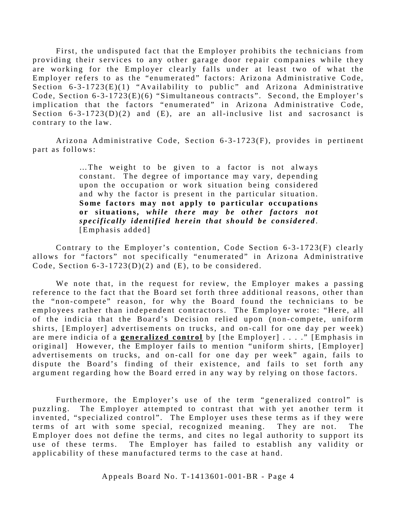First, the undisputed fact that the Employer prohibits the technicians from providing their services to any other garage door repair companies while they are working for the Employer clearly falls under at least two of what the Employer refers to as the "enumerated" factors: Arizona Administrative Code, Section  $6 - 3 - 1723(E)(1)$  "Availability to public" and Arizona Administrative Code, Section  $6 - 3 - 1723(E)(6)$  "Simultaneous contracts". Second, the Employer's implication that the factors "enumerated" in Arizona Administrative Code, Section  $6 - 3 - 1723(D)(2)$  and  $(E)$ , are an all-inclusive list and sacrosanct is contrary to the law.

Arizona Administrative Code, Section 6-3-1723(F), provides in pertinent part as follows:

> …The weight to be given to a factor is not always constant. The degree of importance may vary, depending upon the occupation or work situation being considered and why the factor is present in the particular situation. **Some factors may not apply to particular occupations or situations,** *while there may be other factors not specifically identified herein that should be considered* . [Emphasis added]

Contrary to the Employer's contention, Code Section 6-3-1723(F) clearly allows for "factors" not specifically "enumerated" in Arizona Administrative Code, Section  $6-3-1723(D)(2)$  and  $(E)$ , to be considered.

We note that, in the request for review, the Employer makes a passing reference to the fact that the Board set forth three additional reasons, other than the "non-compete" reason, for why the Board found the technicians to be employees rather than independent contractors. The Employer wrote: "Here, all of the indicia that the Board's Decision relied upon (non-compete, uniform shirts, [Employer] advertisements on trucks, and on-call for one day per week) are mere indicia of a **generalized control** by [the Employer] . . . ." [Emphasis in original] However, the Employer fails to mention "uniform shirts, [Employer] advertisements on trucks, and on-call for one day per week" again, fails to dispute the Board's finding of their existence, and fails to set forth any argument regarding how the Board erred in any way by relying on those factors.

Furthermore, the Employer's use of the term "generalized control" is puzzling. The Employer attempted to contrast that with yet another term it invented, "specialized control". The Employer uses these terms as if they were terms of art with some special, recognized meaning. They are not. The Employer does not define the terms, and cites no legal authority to support its use of these terms. The Employer has failed to establish any validity or applicability of these manufactured terms to the case at hand.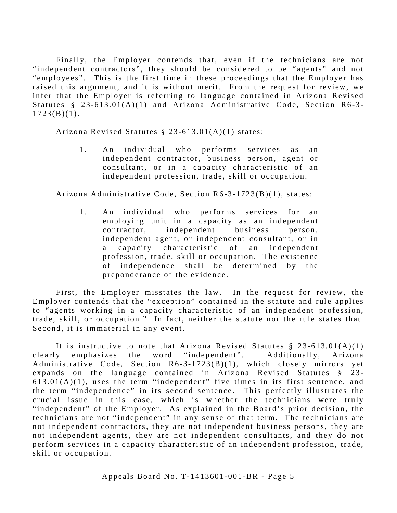Finally, the Employer contends that, even if the technicians are not "independent contractors", they should be considered to be "agents" and not "employees". This is the first time in these proceedings that the Employer has raised this argument, and it is without merit. From the request for review, we infer that the Employer is referring to language contained in Arizona Revised Statutes  $§$  23-613.01(A)(1) and Arizona Administrative Code, Section R6-3- $1723(B)(1)$ .

Arizona Revised Statutes § 23 -613.01(A)(1) states:

1 . An individual who performs services as an independent contractor, business person, agent or consultant, or in a capacity characteristic of an independent profession, trade, skill or occupation.

Arizona Administrative Code, Section R6-3-1723(B)(1), states:

1 . An individual who performs services for an employing unit in a capacity as an independent contractor, independent business person, independent agent, or independent consultant, or in a capacity characteristic of an independent profession, trade, skill or occupation. The existence of independence shall be determined by the preponderance of the evidence.

First, the Employer misstates the law. In the request for review, the Employer contends that the "exception" contained in the statute and rule applies to "agents working in a capacity characteristic of an independent profession, trade, skill, or occupation." In fact, neither the statute nor the rule states that. Second, it is immaterial in any event.

It is instructive to note that Arizona Revised Statutes  $\S$  23-613.01(A)(1) clearly emphasizes the word "independent". Additionally, Arizona Administrative Code, Section R6-3-1723(B)(1), which closely mirrors yet expands on the language contained in Arizona Revised Statutes § 23-  $613.01(A)(1)$ , uses the term "independent" five times in its first sentence, and the term "independence" in its second sentence. This perfectly illustrates the crucial issue in this case, which is whether the technicians were truly "independent" of the Employer. As explained in the Board's prior decision, the technicians are not "independent" in any sense of that term. The technicians are not independent contractors, they are not independent business persons, they are not independent agents, they are not independent consultants, and they do not perform services in a capacity characteristic of an independent profession, trade, skill or occupation.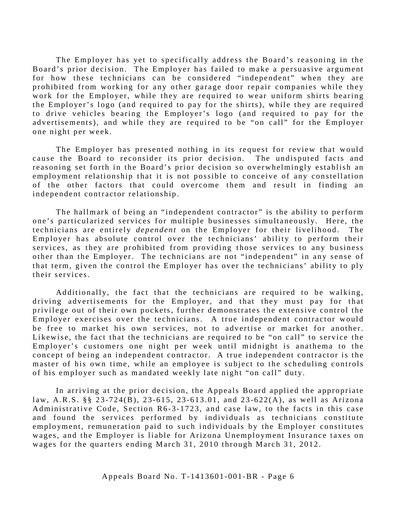The Employer has yet to specifically address the Board's reasoning in the Board's prior decision. The Employer has failed to make a persuasive argument for how these technicians can be considered "independent" when they are prohibited from working for any other garage door repair companies while they work for the Employer, while they are required to wear uniform shirts bearing the Employer's logo (and required to pay for the shirts), while they are required to drive vehicles bearing the Employer's logo (and required to pay for the advertisements), and while they are required to be "on call" for the Employer one night per week.

The Employer has presented nothing in its request for review that would cause the Board to reconsider its prior decision. The undisputed facts and reasoning set forth in the Board's prior decision so overwhelmingly establish an employment relationship that it is not possible to conceive of any constellation of the other factors that could overcome them and result in finding an independent contractor relationship.

The hallmark of being an "independent contractor" is the ability to perform one's particularized services for multiple businesses simultaneously. Here, the technicians are entirely *dependent* on the Employer for their livelihood . The Employer has absolute control over the technicians' ability to perform their services, as they are prohibited from providing those services to any business other than the Employer. The technicians are not "independent" in any sense of that term, given the control the Employer has over the technicians' ability to ply their services.

Additionally, the fact that the technicians are required to be walking, driving advertisements for the Employer, and that they must pay for that privilege out of their own pockets, further demonstrates the extensive control the Employer exercises over the technicians. A true independent contractor would be free to market his own services, not to advertise or market for another. Likewise, the fact that the technicians are required to be "on call" to service the Employer's customers one night per week until midnight is anathema to the concept of being an independent contractor. A true independent contractor is the master of his own time, while an employee is subject to the scheduling controls of his employer such as mandated weekly late night "on call" duty.

In arriving at the prior decision, the Appeals Board applied the appropriate law, A.R.S. §§ 23-724(B), 23-615, 23-613.01, and 23-622(A), as well as Arizona Administrative Code, Section R6-3-1723, and case law, to the facts in this case and found the services performed by individuals as technicians constitute employment, remuneration paid to such individuals by the Employer constitutes wages, and the Employer is liable for Arizona Unemployment Insurance taxes on wages for the quarters ending March 31, 2010 through March 31, 2012.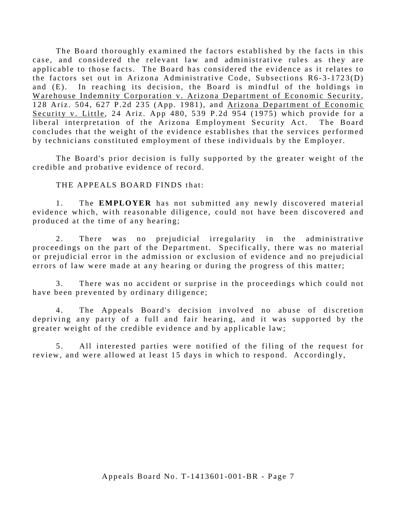The Board thoroughly examined the factors established by the facts in this case, and considered the relevant law and administrative rules as they are applicable to those facts. The Board has considered the evidence as it relates to the factors set out in Arizona Administrative Code, Subsections R6-3-1723(D) and (E). In reaching its decision, the Board is mindful of the holdings in Warehouse Indemnity Corporation v. Arizona Department of Economic Security*,* 128 Ariz. 504, 627 P.2d 235 (App. 1981), and Arizona Department of Economic Security v. Little, 24 Ariz. App 480, 539 P.2d 954 (1975) which provide for a liberal interpretation of the Arizona Employment Security Act. The Board concludes that the weight of the evidence establishes that the services performed by technicians constituted employment of these individuals by the Employer.

The Board's prior decision is fully supported by the greater weight of the credible and probative evidence of record.

THE APPEALS BOARD FINDS that:

1. The **EMPLOYER** has not submitted any newly discovered material evidence which, with reasonable diligence, could not have been discovered and produced at the time of any hearing;

2. There was no prejudicial irregularity in the administrative proceedings on the part of the Department. Specifically, there was no material or prejudicial error in the admission or exclusion of evidence and no prejudicial errors of law were made at any hearing or during the progress of this matter;

3. There was no accident or surprise in the proceedings which could not have been prevented by ordinary diligence;

4. The Appeals Board's decision involved no abuse of discretion depriving any party of a full and fair hearing, and it was supported by the greater weight of the credible evidence and by applicable law;

5 . All interested parties were notified of the filing of the request for review, and were allowed at least 15 days in which to respond. Accordingly,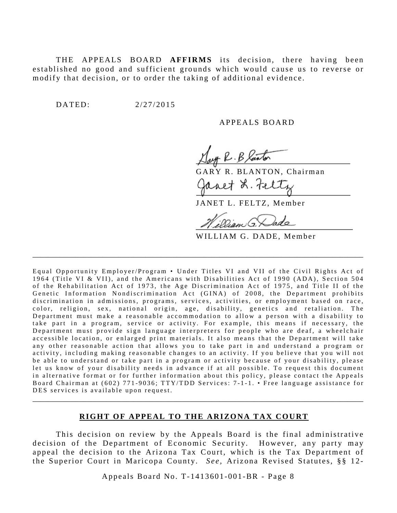THE APPEALS BOARD **AFFIRMS** its decision, there having been established no good and sufficient grounds which would cause us to reverse or modify that decision, or to order the taking of additional evidence.

DATED: 2/27/2015

#### APPEALS BOARD

K.B Kanton

RY R. BLANTON, Chairman avet L. Felte

JANET L. FELTZ, Member

WILLIAM G. DADE, Member

Equal Opportunity Employer/Program • Under Titles VI and VII of the Civil Rights Act of 1964 (Title VI & VII), and the Americans with Disabilities Act of 1990 (ADA), Section 504 of the Rehabilitation Act of 1973, the Age Discrimination Act of 1975, and Title II of the Genetic Information Nondiscrimination Act (GINA) of 2008, the Department prohibits discrimination in admissions, programs, services, activities, or employment based on race, color, religion, sex, national origin, age, disability, genetics and retaliation. The Department must make a reasonable accommodation to allow a person with a disability to take part in a program, service or activity. For example, this means if necessary, the Department must provide sign language interpreters for people who are deaf, a wheelchair accessible location, or enlarged print materials. It also means that the Department will take any other reasonable action that allows you to take part in and understand a program or activity, including making reasonable changes to an activity. If you believe that you will not be able to understand or take part in a program or activity because of your disability, please let us know of your disability needs in advance if at all possible. To request this document in alternative format or for further information about this policy, please contact the Appeals Board Chairman at (602) 771-9036; TTY/TDD Services: 7-1-1. • Free language assistance for DES services is available upon request.

\_\_\_\_\_\_\_\_\_\_\_\_\_\_\_\_\_\_\_\_\_\_\_\_\_\_\_\_\_\_\_\_\_\_\_\_\_\_\_\_\_\_\_\_\_\_\_\_\_\_\_\_\_\_\_\_\_\_\_\_\_\_\_\_\_\_\_\_\_\_\_\_\_\_\_\_\_\_\_\_\_\_\_\_\_

#### **RIGHT OF APPEAL TO THE ARIZONA TAX COURT**

\_\_\_\_\_\_\_\_\_\_\_\_\_\_\_\_\_\_\_\_\_\_\_\_\_\_\_\_\_\_\_\_\_\_\_\_\_\_\_\_\_\_\_\_\_\_\_\_\_\_\_\_\_\_\_\_\_\_\_\_\_\_\_\_\_\_\_\_\_\_\_\_\_\_\_\_\_\_\_\_\_\_\_\_\_

This decision on review by the Appeals Board is the final administrative decision of the Department of Economic Security. However, any party may appeal the decision to the Arizona Tax Court, which is the Tax Department of the Superior Court in Maricopa County. *See,* Arizona Revised Statutes, §§ 12 -

Appeals Board No. T- 1413601 -001 -BR - Page 8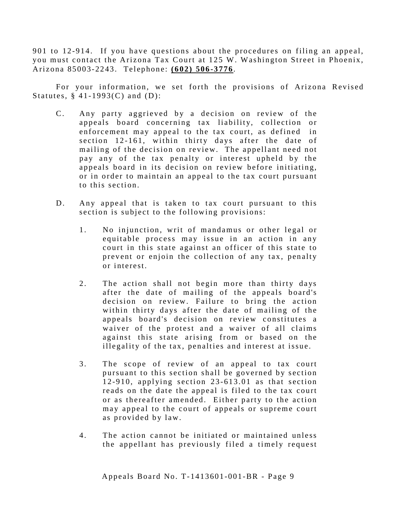901 to 12 -914. If you have questions about the procedures on filing an appeal, you must contact the Arizona Tax Court at 125 W. Washington Street in Phoenix, Arizona 85003- 2243. Telephone: **(602) 506 -3776**.

For your information, we set forth the provisions of Arizona Revised Statutes,  $§$  41-1993(C) and (D):

- C. Any party aggrieved by a decision on review of the appeals board concerning tax liability, collection or enforcement may appeal to the tax court, as defined in section 12-161, within thirty days after the date of mailing of the decision on review. The appellant need not pay any of the tax penalty or interest upheld by the appeals board in its decision on review before initiating, or in order to maintain an appeal to the tax court pursuant to this section.
- D. Any appeal that is taken to tax court pursuant to this section is subject to the following provisions:
	- 1. No injunction, writ of mandamus or other legal or equitable process may issue in an action in any court in this state against an officer of this state to prevent or enjoin the collection of any tax, penalty or interest.
	- 2. The action shall not begin more than thirty days after the date of mailing of the appeals board's decision on review. Failure to bring the action within thirty days after the date of mailing of the appeals board's decision on review constitutes a waiver of the protest and a waiver of all claims against this state arising from or based on the illegality of the tax, penalties and interest at issue.
	- 3. The scope of review of an appeal to tax court pursuant to this section shall be governed by section 12-910, applying section  $23-613.01$  as that section reads on the date the appeal is filed to the tax court or as thereafter amended. Either party to the action may appeal to the court of appeals or supreme court as provided by law.
	- 4 . The action cannot be initiated or maintained unless the appellant has previously filed a timely request